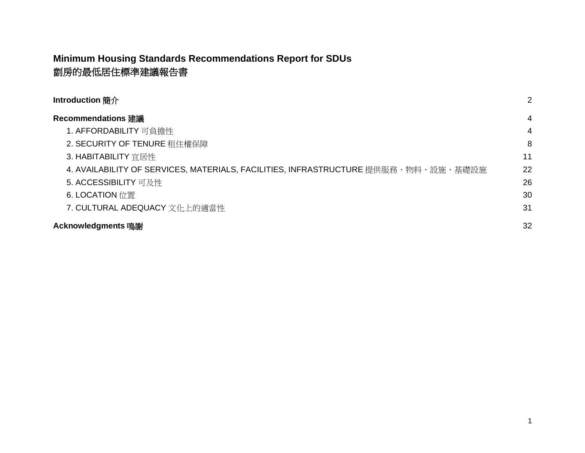### **Minimum Housing Standards Recommendations Report for SDUs** 劏房的最低居住標準建議報告書

| <b>Introduction</b> 簡介                                                             | $\overline{2}$ |
|------------------------------------------------------------------------------------|----------------|
| <b>Recommendations 建議</b>                                                          | 4              |
| 1. AFFORDABILITY 可負擔性                                                              | $\overline{4}$ |
| 2. SECURITY OF TENURE 租住權保障                                                        | 8              |
| 3. HABITABILITY 宜居性                                                                | 11             |
| 4. AVAILABILITY OF SERVICES, MATERIALS, FACILITIES, INFRASTRUCTURE 提供服務、物料、設施、基礎設施 | 22             |
| 5. ACCESSIBILITY 可及性                                                               | 26             |
| 6. LOCATION 位置                                                                     | 30             |
| 7. CULTURAL ADEQUACY 文化上的適當性                                                       | 31             |
| Acknowledgments 鳴謝                                                                 | 32             |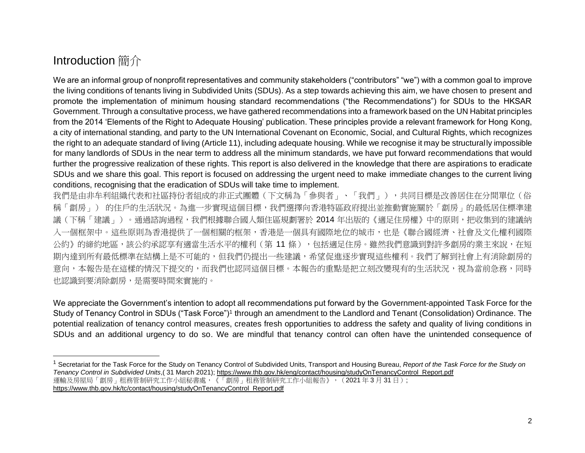# <span id="page-1-0"></span>Introduction 簡介

We are an informal group of nonprofit representatives and community stakeholders ("contributors" "we") with a common goal to improve the living conditions of tenants living in Subdivided Units (SDUs). As a step towards achieving this aim, we have chosen to present and promote the implementation of minimum housing standard recommendations ("the Recommendations") for SDUs to the HKSAR Government. Through a consultative process, we have gathered recommendations into a framework based on the UN Habitat principles from the 2014 'Elements of the Right to Adequate Housing' publication. These principles provide a relevant framework for Hong Kong, a city of international standing, and party to the UN International Covenant on Economic, Social, and Cultural Rights, which recognizes the right to an adequate standard of living (Article 11), including adequate housing. While we recognise it may be structurally impossible for many landlords of SDUs in the near term to address all the minimum standards, we have put forward recommendations that would further the progressive realization of these rights. This report is also delivered in the knowledge that there are aspirations to eradicate SDUs and we share this goal. This report is focused on addressing the urgent need to make immediate changes to the current living conditions, recognising that the eradication of SDUs will take time to implement.

我們是由非牟利組織代表和社區持份者組成的非正式團體(下文稱為「參與者」、「我們」),共同目標是改善居住在分間單位(俗 稱「劏房」)的住戶的生活狀況。為進一步實現這個目標,我們選擇向香港特區政府提出並推動實施關於「劏房」的最低居住標準建 議(下稱「建議」)。通過諮詢過程,我們根據聯合國人類住區規劃署於 2014 年出版的《適足住房權》中的原則,把收集到的建議納 入一個框架中。這些原則為香港提供了一個相關的框架,香港是一個具有國際地位的城市,也是《聯合國經濟、社會及文化權利國際 公約》的締約地區,該公約承認享有適當生活水平的權利(第 11 條),包括適足住房。雖然我們意識到對許多劏房的業主來說,在短 期內達到所有最低標準在結構上是不可能的,但我們仍提出一些建議,希望促進逐步實現這些權利。我們了解到社會上有消除劏房的 意向,本報告是在這樣的情況下提交的,而我們也認同這個目標。本報告的重點是把立刻改變現有的生活狀況,視為當前急務,同時 也認識到要消除劏房,是需要時間來實施的。

We appreciate the Government's intention to adopt all recommendations put forward by the Government-appointed Task Force for the Study of Tenancy Control in SDUs ("Task Force")<sup>1</sup> through an amendment to the Landlord and Tenant (Consolidation) Ordinance. The potential realization of tenancy control measures, creates fresh opportunities to address the safety and quality of living conditions in SDUs and an additional urgency to do so. We are mindful that tenancy control can often have the unintended consequence of

<sup>1</sup> Secretariat for the Task Force for the Study on Tenancy Control of Subdivided Units, Transport and Housing Bureau, *Report of the Task Force for the Study on Tenancy Control in Subdivided Units*,( 31 March 2021)[; https://www.thb.gov.hk/eng/contact/housing/studyOnTenancyControl\\_Report.pdf](https://www.thb.gov.hk/eng/contact/housing/studyOnTenancyControl_Report.pdf) 運輸及房屋局「劏房」租務管制研究工作小組秘書處,《「劏房」租務管制研究工作小組報告》, (2021年3月31日); [https://www.thb.gov.hk/tc/contact/housing/studyOnTenancyControl\\_Report.pdf](https://www.thb.gov.hk/tc/contact/housing/studyOnTenancyControl_Report.pdf)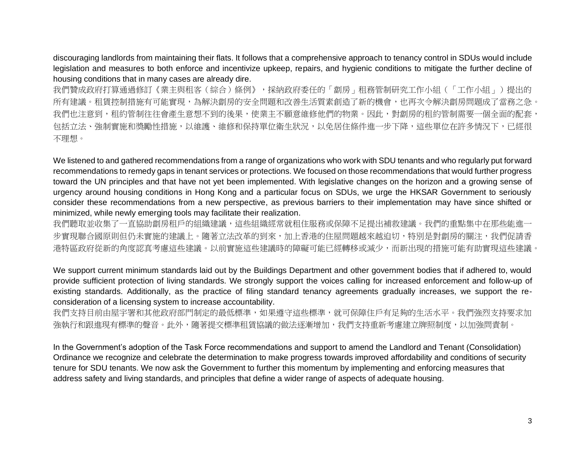discouraging landlords from maintaining their flats. It follows that a comprehensive approach to tenancy control in SDUs would include legislation and measures to both enforce and incentivize upkeep, repairs, and hygienic conditions to mitigate the further decline of housing conditions that in many cases are already dire.

我們贊成政府打算通過修訂《業主與租客(綜合)條例》,採納政府委任的「劏房」租務管制研究工作小組(「工作小組」)提出的 所有建議。租賃控制措施有可能實現,為解決劏房的安全問題和改善生活質素創造了新的機會,也再次令解決劏房問題成了當務之急。 我們也注意到,租約管制往往會產生意想不到的後果,使業主不願意維修他們的物業。因此,對劏房的租約管制需要一個全面的配套, 包括立法、強制實施和獎勵性措施,以維護、維修和保持單位衛生狀況,以免居住條件進一步下降,這些單位在許多情況下,已經很 不理想。

We listened to and gathered recommendations from a range of organizations who work with SDU tenants and who regularly put forward recommendations to remedy gaps in tenant services or protections. We focused on those recommendations that would further progress toward the UN principles and that have not yet been implemented. With legislative changes on the horizon and a growing sense of urgency around housing conditions in Hong Kong and a particular focus on SDUs, we urge the HKSAR Government to seriously consider these recommendations from a new perspective, as previous barriers to their implementation may have since shifted or minimized, while newly emerging tools may facilitate their realization.

我們聽取並收集了一直協助劏房租戶的組織建議,這些組織經常就租住服務或保障不足提出補救建議。我們的重點集中在那些能進一 步實現聯合國原則但仍未實施的建議上。隨著立法改革的到來,加上香港的住屋問題越來越迫切,特別是對劏房的關注,我們促請香 港特區政府從新的角度認真考慮這些建議。以前實施這些建議時的障礙可能已經轉移或減少,而新出現的措施可能有助實現這些建議。

We support current minimum standards laid out by the Buildings Department and other government bodies that if adhered to, would provide sufficient protection of living standards. We strongly support the voices calling for increased enforcement and follow-up of existing standards. Additionally, as the practice of filing standard tenancy agreements gradually increases, we support the reconsideration of a licensing system to increase accountability.

我們支持目前由屋宇署和其他政府部門制定的最低標準,如果遵守這些標準,就可保障住戶有足夠的生活水平。我們強烈支持要求加 強執行和跟進現有標準的聲音。此外,隨著提交標準租賃協議的做法逐漸增加,我們支持重新考慮建立牌照制度,以加強問責制。

In the Government's adoption of the Task Force recommendations and support to amend the Landlord and Tenant (Consolidation) Ordinance we recognize and celebrate the determination to make progress towards improved affordability and conditions of security tenure for SDU tenants. We now ask the Government to further this momentum by implementing and enforcing measures that address safety and living standards, and principles that define a wider range of aspects of adequate housing.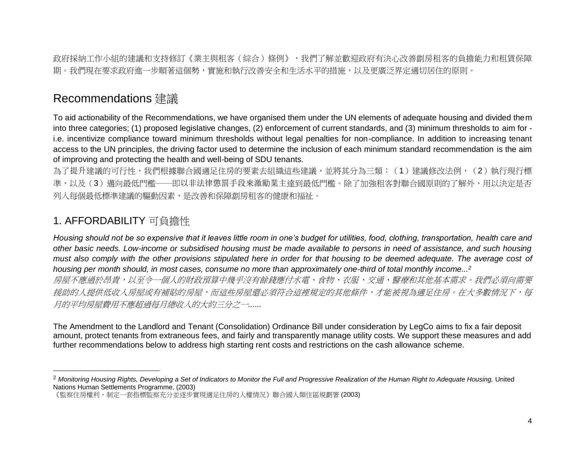政府採納工作小組的建議和支持修訂《業主與租客(綜合)條例》,我們了解並歡迎政府有決心改善劏房租客的負擔能力和租賃保障 期。我們現在要求政府進一步順著這個勢,實施和執行改善安全和生活水平的措施,以及更廣泛界定適切居住的原則。

# <span id="page-3-0"></span>Recommendations 建議

To aid actionability of the Recommendations, we have organised them under the UN elements of adequate housing and divided them into three categories; (1) proposed legislative changes, (2) enforcement of current standards, and (3) minimum thresholds to aim for i.e. incentivize compliance toward minimum thresholds without legal penalties for non-compliance. In addition to increasing tenant access to the UN principles, the driving factor used to determine the inclusion of each minimum standard recommendation is the aim of improving and protecting the health and well-being of SDU tenants.

為了提升建議的可行性,我們根據聯合國適足住房的要素去組織這些建議,並將其分為三類:(1)建議修改法例,(2)執行現行標 準,以及(3)邁向最低門檻——即以非法律懲罰手段來激勵業主達到最低門檻。除了加強租客對聯合國原則的了解外,用以決定是否 列入每個最低標準建議的驅動因素,是改善和保障劏房租客的健康和福祉。

#### <span id="page-3-1"></span>1. AFFORDABILITY 可負擔性

*Housing should not be so expensive that it leaves little room in one's budget for utilities, food, clothing, transportation, health care and other basic needs. Low-income or subsidised housing must be made available to persons in need of assistance, and such housing must also comply with the other provisions stipulated here in order for that housing to be deemed adequate. The average cost of housing per month should, in most cases, consume no more than approximately one-third of total monthly income...<sup>2</sup>* 房屋不應過於昂貴,以至令一個人的財政預算中幾乎沒有餘錢應付水電、食物、衣服、交通、醫療和其他基本需求。我們必須向需要 接助的人提供低收入房屋或有補貼的房屋,而這些房屋還必須符合這裡規定的其他條件,才能被視為適足住房。在大多數情況下,每 月的平均房屋費用不應超過每月總收入的大約三分之一*......* 

The Amendment to the Landlord and Tenant (Consolidation) Ordinance Bill under consideration by LegCo aims to fix a fair deposit amount, protect tenants from extraneous fees, and fairly and transparently manage utility costs. We support these measures and add further recommendations below to address high starting rent costs and restrictions on the cash allowance scheme.

<sup>2</sup> *Monitoring Housing Rights, Developing a Set of Indicators to Monitor the Full and Progressive Realization of the Human Right to Adequate Housing,* United Nations Human Settlements Programme, (2003)

<sup>《</sup>監察住房權利,制定一套指標監察充分並逐步實現適足住房的人權情況》聯合國人類住區規劃署 (2003)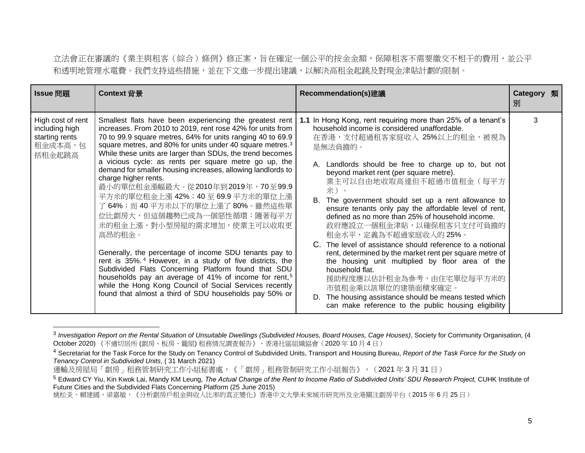立法會正在審議的《業主與租客(綜合)條例》修正案,旨在確定一個公平的按金金額,保障租客不需要繳交不相干的費用,並公平 和透明地管理水電費。我們支持這些措施,並在下文進一步提出建議,以解決高租金起跳及對現金津貼計劃的限制。

| Issue 問題                                                                   | Context 背景                                                                                                                                                                                                                                                                                                                                                                                                                                                                                                                                                                                                                                                                                                                                                                                                                                                                                                                                                                                                                                     | Recommendation(s)建議                                                                                                                                                                                                                                                                                                                                                                                                                                                                                                                                                                                                                                                                                                                                                                                                                                                                    | <b>Category</b> 類<br>別 |  |
|----------------------------------------------------------------------------|------------------------------------------------------------------------------------------------------------------------------------------------------------------------------------------------------------------------------------------------------------------------------------------------------------------------------------------------------------------------------------------------------------------------------------------------------------------------------------------------------------------------------------------------------------------------------------------------------------------------------------------------------------------------------------------------------------------------------------------------------------------------------------------------------------------------------------------------------------------------------------------------------------------------------------------------------------------------------------------------------------------------------------------------|----------------------------------------------------------------------------------------------------------------------------------------------------------------------------------------------------------------------------------------------------------------------------------------------------------------------------------------------------------------------------------------------------------------------------------------------------------------------------------------------------------------------------------------------------------------------------------------------------------------------------------------------------------------------------------------------------------------------------------------------------------------------------------------------------------------------------------------------------------------------------------------|------------------------|--|
| High cost of rent<br>including high<br>starting rents<br>租金成本高,包<br>括租金起跳高 | Smallest flats have been experiencing the greatest rent<br>increases. From 2010 to 2019, rent rose 42% for units from<br>70 to 99.9 square metres, 64% for units ranging 40 to 69.9<br>square metres, and 80% for units under 40 square metres. <sup>3</sup><br>While these units are larger than SDUs, the trend becomes<br>a vicious cycle: as rents per square metre go up, the<br>demand for smaller housing increases, allowing landlords to<br>charge higher rents.<br>最小的單位租金漲幅最大。從2010年到2019年,70至99.9<br>平方米的單位租金上漲 42%; 40至 69.9平方米的單位上漲<br>了 64%; 而 40平方米以下的單位上漲了 80%。雖然這些單<br>位比劏房大,但這個趨勢已成為一個惡性循環:隨著每平方<br>米的租金上漲,對小型房屋的需求增加,使業主可以收取更<br>高昂的租金。<br>Generally, the percentage of income SDU tenants pay to<br>rent is 35%. <sup>4</sup> However, in a study of five districts, the<br>Subdivided Flats Concerning Platform found that SDU<br>households pay an average of 41% of income for rent, <sup>5</sup><br>while the Hong Kong Council of Social Services recently<br>found that almost a third of SDU households pay 50% or | In Hong Kong, rent requiring more than 25% of a tenant's<br>1.1<br>household income is considered unaffordable.<br>在香港,支付超過租客家庭收入 25%以上的租金,被視為<br>是無法負擔的。<br>A. Landlords should be free to charge up to, but not<br>beyond market rent (per square metre).<br>業主可以自由地收取高達但不超過市值租金(每平方<br>米)。<br>The government should set up a rent allowance to<br>ensure tenants only pay the affordable level of rent,<br>defined as no more than 25% of household income.<br>政府應設立一個租金津貼,以確保租客只支付可負擔的<br>租金水平,定義為不超過家庭收入的 25%。<br>The level of assistance should reference to a notional<br>rent, determined by the market rent per square metre of<br>the housing unit multiplied by floor area of the<br>household flat.<br>援助程度應以估計租金為參考,由住宅單位每平方米的<br>市值租金乘以該單位的建築面積來確定。<br>The housing assistance should be means tested which<br>D.<br>can make reference to the public housing eligibility | 3                      |  |

<sup>3</sup> *Investigation Report on the Rental Situation of Unsuitable Dwellings (Subdivided Houses, Board Houses, Cage Houses)*, Society for Community Organisation, (4 October 2020) 《不適切居所 (劏房、板房、籠屋) 租務情況調查報告》,香港社區組織協會(2020 年 10 月 4 日)

<sup>4</sup> Secretariat for the Task Force for the Study on Tenancy Control of Subdivided Units, Transport and Housing Bureau, *Report of the Task Force for the Study on Tenancy Control in Subdivided Units*, ( 31 March 2021)

運輸及房屋局「劏房」租務管制研究工作小組秘書處,《「劏房」租務管制研究工作小組報告》, (2021年3月31日)

<sup>5</sup> Edward CY Yiu, Kin Kwok Lai, Mandy KM Leung, *The Actual Change of the Rent to Income Ratio of Subdivided Units' SDU Research Project,* CUHK Institute of Future Cities and the Subdivided Flats Concerning Platform (25 June 2015)

姚松炎、賴建國、梁嘉敏,《分析劏房戶租金與收入比率的真正變化》香港中文大學未來城市研究所及全港關注劏房平台(2015年6月25日)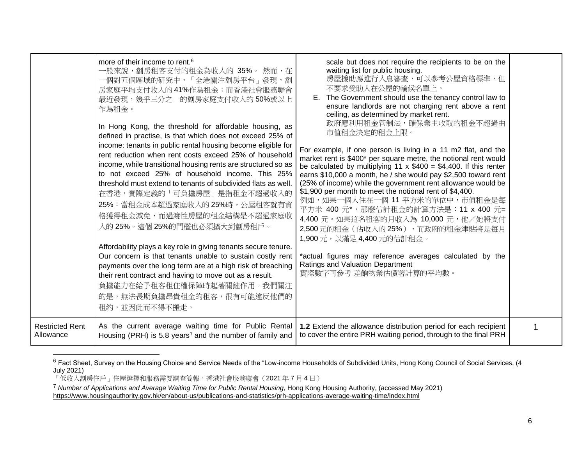|                        | more of their income to rent. <sup>6</sup><br>一般來說,劏房租客支付的租金為收入的 35%。 然而,在<br>一個對五個區域的研究中,「全港關注劏房平台」發現, 劏<br>房家庭平均支付收入的41%作為租金;而香港社會服務聯會<br>最近發現,幾乎三分之一的劏房家庭支付收入的50%或以上<br>作為租金。<br>In Hong Kong, the threshold for affordable housing, as<br>defined in practise, is that which does not exceed 25% of<br>income: tenants in public rental housing become eligible for<br>rent reduction when rent costs exceed 25% of household<br>income, while transitional housing rents are structured so as<br>to not exceed 25% of household income. This 25%<br>threshold must extend to tenants of subdivided flats as well.<br>在香港,實際定義的「可負擔房屋」是指租金不超過收入的<br>25%: 當租金成本超過家庭收入的25%時, 公屋租客就有資<br>格獲得租金減免,而過渡性房屋的租金結構是不超過家庭收<br>入的 25%。這個 25%的門檻也必須擴大到劏房租戶。<br>Affordability plays a key role in giving tenants secure tenure.<br>Our concern is that tenants unable to sustain costly rent<br>payments over the long term are at a high risk of breaching<br>their rent contract and having to move out as a result.<br>負擔能力在給予租客租住權保障時起著關鍵作用。我們關注<br>的是,無法長期負擔昂貴租金的租客,很有可能違反他們的<br>租約,並因此而不得不搬走。 | scale but does not require the recipients to be on the<br>waiting list for public housing.<br>房屋援助應進行入息審查,可以參考公屋資格標準,但<br>不要求受助人在公屋的輪候名單上。<br>E. The Government should use the tenancy control law to<br>ensure landlords are not charging rent above a rent<br>ceiling, as determined by market rent.<br>政府應利用租金管制法,確保業主收取的租金不超過由<br>市值租金決定的租金上限。<br>For example, if one person is living in a 11 m2 flat, and the<br>market rent is \$400* per square metre, the notional rent would<br>be calculated by multiplying 11 x $$400 = $4,400$ . If this renter<br>earns \$10,000 a month, he / she would pay \$2,500 toward rent<br>(25% of income) while the government rent allowance would be<br>\$1,900 per month to meet the notional rent of \$4,400.<br>例如,如果一個人住在一個 11 平方米的單位中,市值租金是每<br>平方米 400 元*, 那麼估計租金的計算方法是: 11 x 400 元=<br>4,400 元。如果這名租客的月收入為 10,000 元, 他/她將支付<br>2,500元的租金(佔收入的25%),而政府的租金津貼將是每月<br>1,900 元,以滿足 4,400 元的估計租金。<br>*actual figures may reference averages calculated by the<br>Ratings and Valuation Department<br>實際數字可參考 差餉物業估價署計算的平均數。 |  |
|------------------------|--------------------------------------------------------------------------------------------------------------------------------------------------------------------------------------------------------------------------------------------------------------------------------------------------------------------------------------------------------------------------------------------------------------------------------------------------------------------------------------------------------------------------------------------------------------------------------------------------------------------------------------------------------------------------------------------------------------------------------------------------------------------------------------------------------------------------------------------------------------------------------------------------------------------------------------------------------------------------------------------------------------------------------------------------------------------------------------------|------------------------------------------------------------------------------------------------------------------------------------------------------------------------------------------------------------------------------------------------------------------------------------------------------------------------------------------------------------------------------------------------------------------------------------------------------------------------------------------------------------------------------------------------------------------------------------------------------------------------------------------------------------------------------------------------------------------------------------------------------------------------------------------------------------------------------------------------------------------------------------------------------------------------------------------------------------------------------------------------------------------------------------------------------------------------|--|
| <b>Restricted Rent</b> | As the current average waiting time for Public Rental                                                                                                                                                                                                                                                                                                                                                                                                                                                                                                                                                                                                                                                                                                                                                                                                                                                                                                                                                                                                                                      | 1.2 Extend the allowance distribution period for each recipient                                                                                                                                                                                                                                                                                                                                                                                                                                                                                                                                                                                                                                                                                                                                                                                                                                                                                                                                                                                                        |  |
| Allowance              | Housing (PRH) is 5.8 years <sup>7</sup> and the number of family and                                                                                                                                                                                                                                                                                                                                                                                                                                                                                                                                                                                                                                                                                                                                                                                                                                                                                                                                                                                                                       | to cover the entire PRH waiting period, through to the final PRH                                                                                                                                                                                                                                                                                                                                                                                                                                                                                                                                                                                                                                                                                                                                                                                                                                                                                                                                                                                                       |  |

<sup>&</sup>lt;sup>6</sup> Fact Sheet, Survey on the Housing Choice and Service Needs of the "Low-income Households of Subdivided Units, Hong Kong Council of Social Services, (4 July 2021)

<sup>「</sup>低收入劏房住戶」住屋選擇和服務需要調查簡報,香港社會服務聯會(2021 年 7 月 4 日)

<sup>7</sup> *Number of Applications and Average Waiting Time for Public Rental Housing*, Hong Kong Housing Authority, (accessed May 2021) <https://www.housingauthority.gov.hk/en/about-us/publications-and-statistics/prh-applications-average-waiting-time/index.html>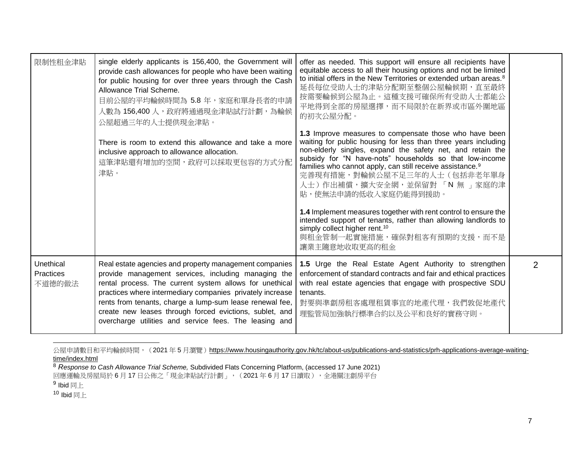| 限制性租金津貼                          | single elderly applicants is 156,400, the Government will<br>provide cash allowances for people who have been waiting<br>for public housing for over three years through the Cash<br>Allowance Trial Scheme.<br>目前公屋的平均輪候時間為 5.8 年,家庭和單身長者的申請<br>人數為 156,400 人, 政府將通過現金津貼試行計劃, 為輪候<br>公屋超過三年的人士提供現金津貼。                                                                                                                 | offer as needed. This support will ensure all recipients have<br>equitable access to all their housing options and not be limited<br>to initial offers in the New Territories or extended urban areas. <sup>8</sup><br>延長每位受助人士的津貼分配期至整個公屋輪候期,直至最終<br>按需要輪候到公屋為止。這種支援可確保所有受助人士都能公<br>平地得到全部的房屋選擇,而不局限於在新界或市區外圍地區<br>的初次公屋分配。                                                                                       |                |
|----------------------------------|------------------------------------------------------------------------------------------------------------------------------------------------------------------------------------------------------------------------------------------------------------------------------------------------------------------------------------------------------------------------------------------------------------------------|--------------------------------------------------------------------------------------------------------------------------------------------------------------------------------------------------------------------------------------------------------------------------------------------------------------------------------------------------------------------------------------------------------------------|----------------|
|                                  | There is room to extend this allowance and take a more<br>inclusive approach to allowance allocation.<br>這筆津貼還有增加的空間,政府可以採取更包容的方式分配<br>津貼。                                                                                                                                                                                                                                                                             | 1.3 Improve measures to compensate those who have been<br>waiting for public housing for less than three years including<br>non-elderly singles, expand the safety net, and retain the<br>subsidy for "N have-nots" households so that low-income<br>families who cannot apply, can still receive assistance. <sup>9</sup><br>完善現有措施,對輪候公屋不足三年的人士(包括非老年單身<br>人士)作出補償,擴大安全網,並保留對 「N 無 」家庭的津<br>貼,使無法申請的低收入家庭仍能得到援助。 |                |
|                                  |                                                                                                                                                                                                                                                                                                                                                                                                                        | 1.4 Implement measures together with rent control to ensure the<br>intended support of tenants, rather than allowing landlords to<br>simply collect higher rent. <sup>10</sup><br>與租金管制一起實施措施,確保對租客有預期的支援,而不是<br>讓業主隨意地收取更高的租金                                                                                                                                                                                     |                |
| Unethical<br>Practices<br>不道德的做法 | Real estate agencies and property management companies<br>provide management services, including managing the<br>rental process. The current system allows for unethical<br>practices where intermediary companies privately increase<br>rents from tenants, charge a lump-sum lease renewal fee,<br>create new leases through forced evictions, sublet, and<br>overcharge utilities and service fees. The leasing and | 1.5 Urge the Real Estate Agent Authority to strengthen<br>enforcement of standard contracts and fair and ethical practices<br>with real estate agencies that engage with prospective SDU<br>tenants.<br>對要與準劏房租客處理租賃事宜的地產代理,我們敦促地產代<br>理監管局加強執行標準合約以及公平和良好的實務守則。                                                                                                                                                   | $\overline{2}$ |

公屋申請數目和平均輪候時間,(2021年5月瀏覽)[https://www.housingauthority.gov.hk/tc/about-us/publications-and-statistics/prh-applications-average-waiting](https://www.housingauthority.gov.hk/tc/about-us/publications-and-statistics/prh-applications-average-waiting-time/index.html)[time/index.html](https://www.housingauthority.gov.hk/tc/about-us/publications-and-statistics/prh-applications-average-waiting-time/index.html)

 $10$  Ibid 同上

<sup>8</sup> *Response to Cash Allowance Trial Scheme,* Subdivided Flats Concerning Platform, (accessed 17 June 2021)

回應運輸及房屋局於 6 月 17 日公佈之「現金津貼試行計劃」,(2021 年 6 月 17 日讀取 ),全港關注劏房平台

 $^9$  Ibid 同上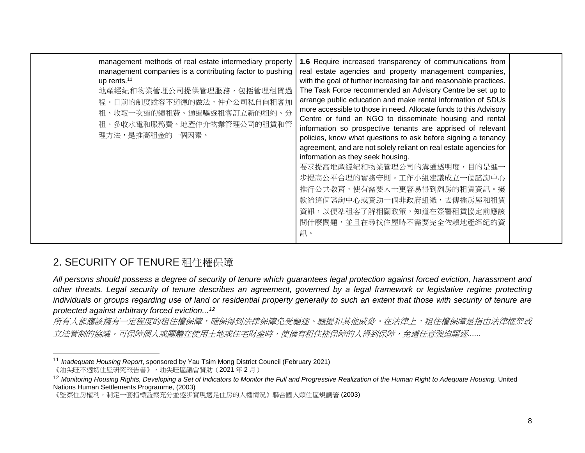| management methods of real estate intermediary property<br>management companies is a contributing factor to pushing<br>up rents. <sup>11</sup><br>地產經紀和物業管理公司提供管理服務,包括管理租賃過<br>程。目前的制度縱容不道德的做法,仲介公司私自向租客加<br>租、收取一次過的續租費、通過驅逐租客訂立新的租約、分<br>租、多收水電和服務費。地產仲介物業管理公司的租賃和管<br>理方法,是推高租金的一個因素。 | 1.6 Require increased transparency of communications from<br>real estate agencies and property management companies,<br>with the goal of further increasing fair and reasonable practices.<br>The Task Force recommended an Advisory Centre be set up to<br>arrange public education and make rental information of SDUs<br>more accessible to those in need. Allocate funds to this Advisory<br>Centre or fund an NGO to disseminate housing and rental<br>information so prospective tenants are apprised of relevant<br>policies, know what questions to ask before signing a tenancy<br>agreement, and are not solely reliant on real estate agencies for<br>information as they seek housing.<br>要求提高地產經紀和物業管理公司的溝通透明度,目的是進一<br>步提高公平合理的實務守則。工作小組建議成立一個諮詢中心<br>推行公共教育,使有需要人士更容易得到劏房的租賃資訊。撥<br>款給這個諮詢中心或資助一個非政府組織,去傳播房屋和租賃<br>資訊,以便準租客了解相關政策,知道在簽署租賃協定前應該<br>問什麼問題,並且在尋找住屋時不需要完全依賴地產經紀的資<br>訊。 |  |
|------------------------------------------------------------------------------------------------------------------------------------------------------------------------------------------------------------------------------------------------------------------------------------------|----------------------------------------------------------------------------------------------------------------------------------------------------------------------------------------------------------------------------------------------------------------------------------------------------------------------------------------------------------------------------------------------------------------------------------------------------------------------------------------------------------------------------------------------------------------------------------------------------------------------------------------------------------------------------------------------------------------------------------------------------------------------------------------------------------------------------------------------------------------------------------------------------|--|
|------------------------------------------------------------------------------------------------------------------------------------------------------------------------------------------------------------------------------------------------------------------------------------------|----------------------------------------------------------------------------------------------------------------------------------------------------------------------------------------------------------------------------------------------------------------------------------------------------------------------------------------------------------------------------------------------------------------------------------------------------------------------------------------------------------------------------------------------------------------------------------------------------------------------------------------------------------------------------------------------------------------------------------------------------------------------------------------------------------------------------------------------------------------------------------------------------|--|

### <span id="page-7-0"></span>2. SECURITY OF TENURE 租住權保障

*All persons should possess a degree of security of tenure which guarantees legal protection against forced eviction, harassment and other threats. Legal security of tenure describes an agreement, governed by a legal framework or legislative regime protecting individuals or groups regarding use of land or residential property generally to such an extent that those with security of tenure are protected against arbitrary forced eviction...<sup>12</sup>*

所有人都應該擁有一定程度的租住權保障,確保得到法律保障免受驅逐、騷擾和其他威脅。在法律上,租住權保障是指由法律框架或 立*法管制的協議,可保障個人或團體在使用土地或住宅財產時,使擁有租住權保障的人得到保障,免遭任意強迫驅逐......* 

<sup>11</sup> *Inadequate Housing Report*, sponsored by Yau Tsim Mong District Council (February 2021)

<sup>《</sup>油尖旺不適切住屋研究報告書》,油尖旺區議會贊助(2021 年 2 月)

<sup>&</sup>lt;sup>12</sup> Monitoring Housing Rights, Developing a Set of Indicators to Monitor the Full and Progressive Realization of the Human Right to Adequate Housing, United Nations Human Settlements Programme, (2003)

<sup>《</sup>監察住房權利,制定一套指標監察充分並逐步實現適足住房的人權情況》聯合國人類住區規劃署 (2003)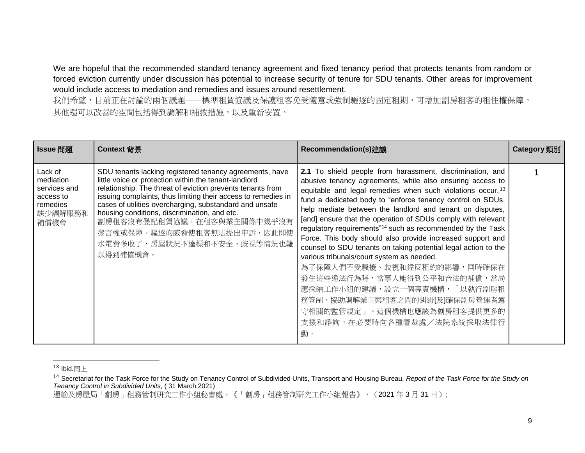We are hopeful that the recommended standard tenancy agreement and fixed tenancy period that protects tenants from random or forced eviction currently under discussion has potential to increase security of tenure for SDU tenants. Other areas for improvement would include access to mediation and remedies and issues around resettlement.

我們希望,目前正在討論的兩個議題——標準租賃協議及保護租客免受隨意或強制驅逐的固定租期,可增加劏房租客的租住權保障。 其他還可以改善的空間包括得到調解和補救措施,以及重新安置。

| Issue 問題                                                                         | Context 背景                                                                                                                                                                                                                                                                                                                                                                                                                                                       | Recommendation(s)建議                                                                                                                                                                                                                                                                                                                                                                                                                                                                                                                                                                                                                                                                                                                                                                                                                      | <b>Category</b> 類別 |
|----------------------------------------------------------------------------------|------------------------------------------------------------------------------------------------------------------------------------------------------------------------------------------------------------------------------------------------------------------------------------------------------------------------------------------------------------------------------------------------------------------------------------------------------------------|------------------------------------------------------------------------------------------------------------------------------------------------------------------------------------------------------------------------------------------------------------------------------------------------------------------------------------------------------------------------------------------------------------------------------------------------------------------------------------------------------------------------------------------------------------------------------------------------------------------------------------------------------------------------------------------------------------------------------------------------------------------------------------------------------------------------------------------|--------------------|
| Lack of<br>mediation<br>services and<br>access to<br>remedies<br>缺少調解服務和<br>補償機會 | SDU tenants lacking registered tenancy agreements, have<br>little voice or protection within the tenant-landlord<br>relationship. The threat of eviction prevents tenants from<br>issuing complaints, thus limiting their access to remedies in<br>cases of utilities overcharging, substandard and unsafe<br>housing conditions, discrimination, and etc.<br>劏房租客沒有登記租賃協議,在租客與業主關係中幾乎沒有<br>發言權或保障。驅逐的威脅使租客無法提出申訴,因此即使<br>水電費多收了、房屋狀況不達標和不安全、歧視等情況也難<br>以得到補償機會。 | 2.1 To shield people from harassment, discrimination, and<br>abusive tenancy agreements, while also ensuring access to<br>equitable and legal remedies when such violations occur, 13<br>fund a dedicated body to "enforce tenancy control on SDUs,<br>help mediate between the landlord and tenant on disputes,<br>[and] ensure that the operation of SDUs comply with relevant<br>regulatory requirements" <sup>14</sup> such as recommended by the Task<br>Force. This body should also provide increased support and<br>counsel to SDU tenants on taking potential legal action to the<br>various tribunals/court system as needed.<br>為了保障人們不受騷擾、歧視和違反租約的影響,同時確保在<br>發生這些違法行為時,當事人能得到公平和合法的補償,當局<br>應採納工作小組的建議,設立一個專責機構,「以執行劏房租<br>務管制、協助調解業主與租客之間的糾紛[及]確保劏房營運者遵<br>守相關的監管規定」。這個機構也應該為劏房租客提供更多的<br>支援和諮詢,在必要時向各種審裁處/法院系統採取法律行<br>動。 |                    |

 $13$  Ibid.同上

運輸及房屋局「劏房」租務管制研究工作小組秘書處,《「劏房」租務管制研究工作小組報告》, (2021年3月31日);

<sup>14</sup> Secretariat for the Task Force for the Study on Tenancy Control of Subdivided Units, Transport and Housing Bureau, *Report of the Task Force for the Study on Tenancy Control in Subdivided Units*, ( 31 March 2021)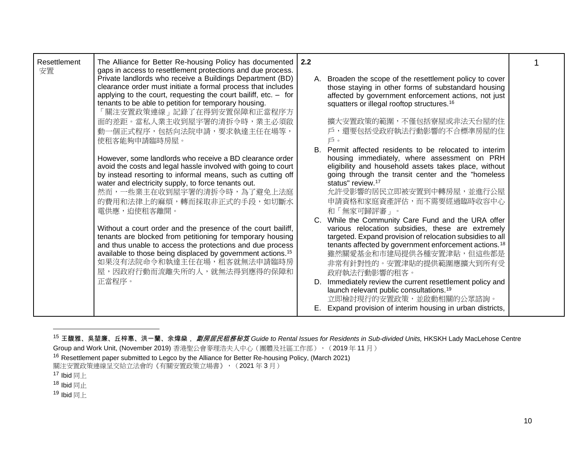| Resettlement<br>安置 | The Alliance for Better Re-housing Policy has documented<br>gaps in access to resettlement protections and due process.<br>Private landlords who receive a Buildings Department (BD)                                     | 2.2 |                                                                                                                                                                                                                                   |  |
|--------------------|--------------------------------------------------------------------------------------------------------------------------------------------------------------------------------------------------------------------------|-----|-----------------------------------------------------------------------------------------------------------------------------------------------------------------------------------------------------------------------------------|--|
|                    | clearance order must initiate a formal process that includes<br>applying to the court, requesting the court bailiff, etc. $-$ for<br>tenants to be able to petition for temporary housing.<br>「關注安置政策連線」記錄了在得到安置保障和正當程序方 |     | A. Broaden the scope of the resettlement policy to cover<br>those staying in other forms of substandard housing<br>affected by government enforcement actions, not just<br>squatters or illegal rooftop structures. <sup>16</sup> |  |
|                    | 面的差距。當私人業主收到屋宇署的清拆令時,業主必須啟                                                                                                                                                                                               |     | 擴大安置政策的範圍,不僅包括寮屋或非法天台屋的住                                                                                                                                                                                                          |  |
|                    | 動一個正式程序,包括向法院申請,要求執達主任在場等,                                                                                                                                                                                               |     | 戶,還要包括受政府執法行動影響的不合標準房屋的住                                                                                                                                                                                                          |  |
|                    | 使租客能夠申請臨時房屋。                                                                                                                                                                                                             |     | 戶。                                                                                                                                                                                                                                |  |
|                    | However, some landlords who receive a BD clearance order                                                                                                                                                                 | В.  | Permit affected residents to be relocated to interim<br>housing immediately, where assessment on PRH                                                                                                                              |  |
|                    | avoid the costs and legal hassle involved with going to court                                                                                                                                                            |     | eligibility and household assets takes place, without                                                                                                                                                                             |  |
|                    | by instead resorting to informal means, such as cutting off<br>water and electricity supply, to force tenants out.                                                                                                       |     | going through the transit center and the "homeless<br>status" review. <sup>17</sup>                                                                                                                                               |  |
|                    | 然而,一些業主在收到屋宇署的清拆令時,為了避免上法庭                                                                                                                                                                                               |     | 允許受影響的居民立即被安置到中轉房屋,並進行公屋                                                                                                                                                                                                          |  |
|                    | 的費用和法律上的麻煩,轉而採取非正式的手段,如切斷水                                                                                                                                                                                               |     | 申請資格和家庭資產評估,而不需要經過臨時收容中心                                                                                                                                                                                                          |  |
|                    | 電供應,迫使租客離開。                                                                                                                                                                                                              |     | 和「無家可歸評審」。                                                                                                                                                                                                                        |  |
|                    |                                                                                                                                                                                                                          |     | C. While the Community Care Fund and the URA offer                                                                                                                                                                                |  |
|                    | Without a court order and the presence of the court bailiff,<br>tenants are blocked from petitioning for temporary housing                                                                                               |     | various relocation subsidies, these are extremely<br>targeted. Expand provision of relocation subsidies to all                                                                                                                    |  |
|                    | and thus unable to access the protections and due process                                                                                                                                                                |     | tenants affected by government enforcement actions. <sup>18</sup>                                                                                                                                                                 |  |
|                    | available to those being displaced by government actions. <sup>15</sup>                                                                                                                                                  |     | 雖然關愛基金和市建局提供各種安置津貼,但這些都是                                                                                                                                                                                                          |  |
|                    | 如果沒有法院命令和執達主任在場,租客就無法申請臨時房                                                                                                                                                                                               |     | 非常有針對性的。安置津貼的提供範圍應擴大到所有受                                                                                                                                                                                                          |  |
|                    | 屋,因政府行動而流離失所的人,就無法得到應得的保障和                                                                                                                                                                                               |     | 政府執法行動影響的租客。                                                                                                                                                                                                                      |  |
|                    | 正當程序。                                                                                                                                                                                                                    | D.  | Immediately review the current resettlement policy and                                                                                                                                                                            |  |
|                    |                                                                                                                                                                                                                          |     | launch relevant public consultations. <sup>19</sup><br>立即檢討現行的安置政策,並啟動相關的公眾諮詢。                                                                                                                                                    |  |
|                    |                                                                                                                                                                                                                          |     | Expand provision of interim housing in urban districts,                                                                                                                                                                           |  |
|                    |                                                                                                                                                                                                                          |     |                                                                                                                                                                                                                                   |  |

<sup>&</sup>lt;sup>15</sup> 王馥雅、吳堃廉、丘梓惠、洪一蘭、余煒燊, *劏房居民租務秘笈* Guide to Rental Issues for Residents in Sub-divided Units, HKSKH Lady MacLehose Centre

Group and Work Unit, (November 2019) 香港聖公會麥理浩夫人中心(團體及社區工作部), (2019年11月)

<sup>16</sup> Resettlement paper submitted to Legco by the Alliance for Better Re-housing Policy, (March 2021)

關注安置政策連線呈交給立法會的《有關安置政策立場書》,(2021 年 3 月)

 $17$  Ibid 同上

 $18$  Ibid 同止

 $19$  Ibid 同上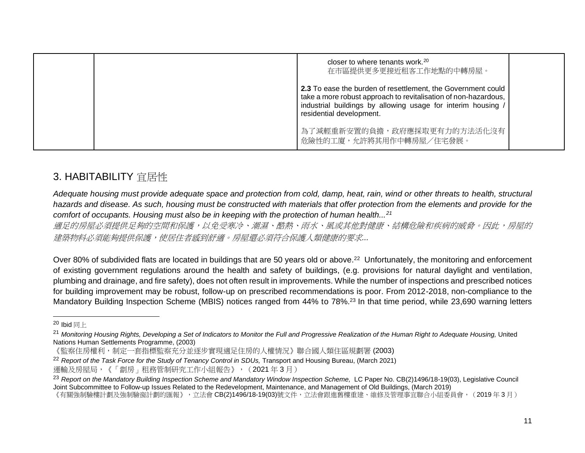|  | closer to where tenants work. $20$<br>在市區提供更多更接近租客工作地點的中轉房屋。                                                                                                                                                                |  |
|--|-----------------------------------------------------------------------------------------------------------------------------------------------------------------------------------------------------------------------------|--|
|  | 2.3 To ease the burden of resettlement, the Government could<br>take a more robust approach to revitalisation of non-hazardous,<br>industrial buildings by allowing usage for interim housing /<br>residential development. |  |
|  | <sup>1</sup> 為了減輕重新安置的負擔,政府應採取更有力的方法活化沒有<br>危險性的工廈,允許將其用作中轉房屋/住宅發展。                                                                                                                                                         |  |

### <span id="page-10-0"></span>3. HABITABILITY 宜居性

*Adequate housing must provide adequate space and protection from cold, damp, heat, rain, wind or other threats to health, structural hazards and disease. As such, housing must be constructed with materials that offer protection from the elements and provide for the comfort of occupants. Housing must also be in keeping with the protection of human health...<sup>21</sup>*

適足的房屋必須提供足夠的空間和保護,以免受寒冷、潮濕、酷熱、雨水、風或其他對健康、結構危險和疾病的威脅。因此,房屋的 建築物料必須能夠提供保護,使居住者感到舒適。房屋還必須符合保護人類健康的要求*...*

Over 80% of subdivided flats are located in buildings that are 50 years old or above.<sup>22</sup> Unfortunately, the monitoring and enforcement of existing government regulations around the health and safety of buildings, (e.g. provisions for natural daylight and ventilation, plumbing and drainage, and fire safety), does not often result in improvements. While the number of inspections and prescribed notices for building improvement may be robust, follow-up on prescribed recommendations is poor. From 2012-2018, non-compliance to the Mandatory Building Inspection Scheme (MBIS) notices ranged from 44% to 78%.<sup>23</sup> In that time period, while 23,690 warning letters

 $20$  Ibid 同上

<sup>&</sup>lt;sup>21</sup> Monitoring Housing Rights, Developing a Set of Indicators to Monitor the Full and Progressive Realization of the Human Right to Adequate Housing, United Nations Human Settlements Programme, (2003)

<sup>《</sup>監察住房權利,制定一套指標監察充分並逐步實現適足住房的人權情況》聯合國人類住區規劃署 (2003)

<sup>&</sup>lt;sup>22</sup> *Report* of the Task Force for the Study of Tenancy Control in SDUs, Transport and Housing Bureau, (March 2021) 運輸及房屋局,《「劏房」租務管制研究工作小組報告》, (2021年3月)

<sup>&</sup>lt;sup>23</sup> Report on the Mandatory Building Inspection Scheme and Mandatory Window Inspection Scheme, LC Paper No. CB(2)1496/18-19(03), Legislative Council Joint Subcommittee to Follow-up Issues Related to the Redevelopment, Maintenance, and Management of Old Buildings, (March 2019)

<sup>《</sup>有關強制驗樓計劃及強制驗窗計劃的匯報》,立法會 CB(2)1496/18-19(03)號文件,立法會跟進舊樓重建、維修及管理事宜聯合小組委員會,(2019 年 3 月)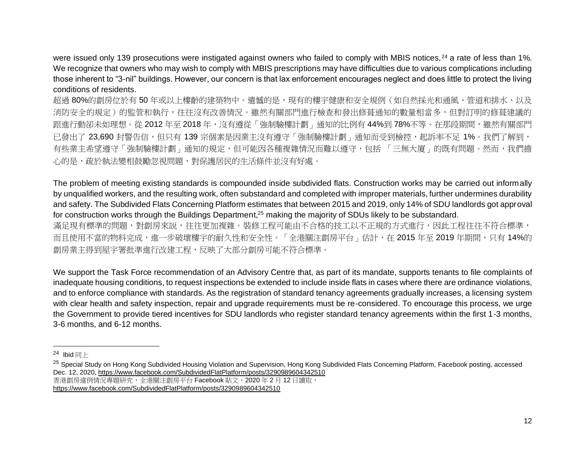were issued only 139 prosecutions were instigated against owners who failed to comply with MBIS notices, <sup>24</sup> a rate of less than 1%. We recognize that owners who may wish to comply with MBIS prescriptions may have difficulties due to various complications including those inherent to "3-nil" buildings. However, our concern is that lax enforcement encourages neglect and does little to protect the living conditions of residents.

超過 80%的劏房位於有 50 年或以上樓齡的建築物中。遺憾的是,現有的樓宇健康和安全規例(如自然採光和通風、管道和排水、以及 消防安全的規定)的監管和執行,往往沒有改善情況。雖然有關部門進行檢查和發出修葺通知的數量相當多,但對訂明的修葺建議的 跟進行動卻未如理想。從 2012 年至 2018 年,沒有遵從「強制驗樓計劃」通知的比例有 44%到 78%不等。在那段期間,雖然有關部門 已發出了 23,690 封警告信,但只有 139 宗個案是因業主沒有遵守「強制驗樓計劃」通知而受到檢控,起訴率不足 1%。我們了解到, 有些業主希望遵守「強制驗樓計劃」通知的規定,但可能因各種複雜情況而難以遵守,包括 「三無大廈」的既有問題。然而,我們擔 心的是,疏於執法變相鼓勵忽視問題,對保護居民的生活條件並沒有好處。

The problem of meeting existing standards is compounded inside subdivided flats. Construction works may be carried out informally by unqualified workers, and the resulting work, often substandard and completed with improper materials, further undermines durability and safety. The Subdivided Flats Concerning Platform estimates that between 2015 and 2019, only 14% of SDU landlords got approval for construction works through the Buildings Department,<sup>25</sup> making the majority of SDUs likely to be substandard. 滿足現有標準的問題,對劏房來説,往往更加複雜。裝修工程可能由不合格的技工以不正規的方式進行,因此工程往往不符合標準, 而且使用不當的物料完成,進一步破壞樓宇的耐久性和安全性。「全港關注劏房平台」估計,在 2015 年至 2019 年期間,只有 14%的

劏房業主得到屋宇署批準進行改建工程,反映了大部分劏房可能不符合標準。

We support the Task Force recommendation of an Advisory Centre that, as part of its mandate, supports tenants to file complaints of inadequate housing conditions, to request inspections be extended to include inside flats in cases where there are ordinance violations, and to enforce compliance with standards. As the registration of standard tenancy agreements gradually increases, a licensing system with clear health and safety inspection, repair and upgrade requirements must be re-considered. To encourage this process, we urge the Government to provide tiered incentives for SDU landlords who register standard tenancy agreements within the first 1-3 months, 3-6 months, and 6-12 months.

 $24$  Ibid 同上

<sup>&</sup>lt;sup>25</sup> Special Study on Hong Kong Subdivided Housing Violation and Supervision, Hong Kong Subdivided Flats Concerning Platform, Facebook posting, accessed Dec. 12, 2020,<https://www.facebook.com/SubdividedFlatPlatform/posts/3290989604342510> 香港劏房違例情況專題研究,全港關注劏房平台 Facebook 貼文,2020 年 2 月 12 日讀取, <https://www.facebook.com/SubdividedFlatPlatform/posts/3290989604342510>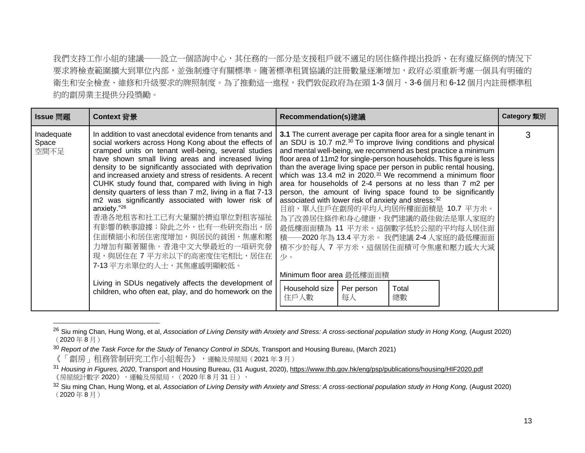我們支持工作小組的建議——設立一個諮詢中心,其任務的一部分是支援租戶就不適足的居住條件提出投訴、在有違反條例的情況下 要求將檢查範圍擴大到單位內部,並強制遵守有關標準。隨著標準租賃協議的註冊數量逐漸增加,政府必須重新考慮一個具有明確的 衛生和安全檢查、維修和升級要求的牌照制度。為了推動這一進程,我們敦促政府為在頭 1-3 個月、3-6 個月和 6-12 個月內註冊標準和 約的劏房業主提供分段獎勵。

| Issue 問題                    | Context 背景                                                                                                                                                                                                                                                                                                                                                                                                                                                                                                                                                                                                                                                                                                                                                                                                                           | <b>Recommendation(s)</b> 建議                                                                                                                                                                                                                                                                                                                                                                                                                                                                                                                                                                                                                                                                                                                                                                                                                                                                                                 | <b>Category</b> 類別 |
|-----------------------------|--------------------------------------------------------------------------------------------------------------------------------------------------------------------------------------------------------------------------------------------------------------------------------------------------------------------------------------------------------------------------------------------------------------------------------------------------------------------------------------------------------------------------------------------------------------------------------------------------------------------------------------------------------------------------------------------------------------------------------------------------------------------------------------------------------------------------------------|-----------------------------------------------------------------------------------------------------------------------------------------------------------------------------------------------------------------------------------------------------------------------------------------------------------------------------------------------------------------------------------------------------------------------------------------------------------------------------------------------------------------------------------------------------------------------------------------------------------------------------------------------------------------------------------------------------------------------------------------------------------------------------------------------------------------------------------------------------------------------------------------------------------------------------|--------------------|
| Inadequate<br>Space<br>空間不足 | In addition to vast anecdotal evidence from tenants and<br>social workers across Hong Kong about the effects of<br>cramped units on tenant well-being, several studies<br>have shown small living areas and increased living<br>density to be significantly associated with deprivation<br>and increased anxiety and stress of residents. A recent<br>CUHK study found that, compared with living in high<br>density quarters of less than 7 m2, living in a flat 7-13<br>m2 was significantly associated with lower risk of<br>anxiety."26<br>香港各地租客和社工已有大量關於擠迫單位對租客福祉<br>有影響的軼事證據;除此之外,也有一些研究指出,居<br>住面積細小和居住密度增加,與居民的貧困、焦慮和壓<br>力增加有顯著關係。香港中文大學最近的一項研究發<br>現,與居住在 7 平方米以下的高密度住宅相比,居住在<br>7-13 平方米單位的人士,其焦慮感明顯較低。<br>Living in SDUs negatively affects the development of<br>children, who often eat, play, and do homework on the | 3.1 The current average per capita floor area for a single tenant in<br>an SDU is 10.7 m2. <sup>30</sup> To improve living conditions and physical<br>and mental well-being, we recommend as best practice a minimum<br>floor area of 11m2 for single-person households. This figure is less<br>than the average living space per person in public rental housing,<br>which was 13.4 m2 in 2020. <sup>31</sup> We recommend a minimum floor<br>area for households of 2-4 persons at no less than 7 m2 per<br>person, the amount of living space found to be significantly<br>associated with lower risk of anxiety and stress: 32<br>目前,單人住戶在劏房的平均人均居所樓面面積是 10.7 平方米。<br>為了改善居住條件和身心健康,我們建議的最佳做法是單人家庭的<br>最低樓面面積為 11 平方米。這個數字低於公屋的平均每人居住面<br>-2020 年為 13.4 平方米。 我們建議 2-4 人家庭的最低樓面面<br>積—<br>積不少於每人 7 平方米,這個居住面積可令焦慮和壓力感大大減<br>小。<br>Minimum floor area 最低樓面面積<br>Household size<br>Per person<br>Total<br>總數<br>住戶人數<br>每人 | 3                  |

<sup>26</sup> Siu ming Chan, Hung Wong, et al, *Association of Living Density with Anxiety and Stress: A cross-sectional population study in Hong Kong,* (August 2020) (2020 年 8 月)

<sup>&</sup>lt;sup>30</sup> *Report of the Task Force for the Study of Tenancy Control in SDUs, Transport and Housing Bureau, (March 2021)* 

<sup>《「</sup>劏房」租務管制研究工作小組報告》,運輸及房屋局(2021 年 3 月)

<sup>31</sup> *Housing in Figures, 2020*, Transport and Housing Bureau, (31 August, 2020)[, https://www.thb.gov.hk/eng/psp/publications/housing/HIF2020.pdf](https://www.thb.gov.hk/eng/psp/publications/housing/HIF2020.pdf) 《房屋統計數字 2020》,運輸及房屋局,(2020 年 8 月 31 日 ),

<sup>32</sup> Siu ming Chan, Hung Wong, et al, *Association of Living Density with Anxiety and Stress: A cross-sectional population study in Hong Kong,* (August 2020) (2020 年 8 月)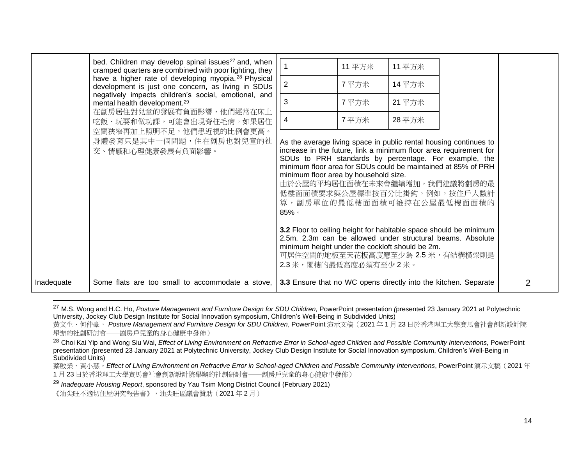|            | bed. Children may develop spinal issues <sup>27</sup> and, when<br>cramped quarters are combined with poor lighting, they<br>have a higher rate of developing myopia. <sup>28</sup> Physical<br>development is just one concern, as living in SDUs<br>negatively impacts children's social, emotional, and<br>mental health development. <sup>29</sup><br>在劏房居住對兒童的發展有負面影響,他們經常在床上<br>吃飯、玩耍和做功課,可能會出現脊柱毛病。如果居住<br>空間狹窄再加上照明不足,他們患近視的比例會更高。 | $\sqrt{2}$<br>3<br>4                                                                                                                                                                                                                                                                                                                                                                                                                      | 11 平方米<br>7平方米<br>7平方米<br>7平方米 | 11 平方米<br>14 平方米<br>21 平方米<br>28 平方米 |                                                                                                                                                                                                                           |                |
|------------|--------------------------------------------------------------------------------------------------------------------------------------------------------------------------------------------------------------------------------------------------------------------------------------------------------------------------------------------------------------------------------------------------------------------------------------------|-------------------------------------------------------------------------------------------------------------------------------------------------------------------------------------------------------------------------------------------------------------------------------------------------------------------------------------------------------------------------------------------------------------------------------------------|--------------------------------|--------------------------------------|---------------------------------------------------------------------------------------------------------------------------------------------------------------------------------------------------------------------------|----------------|
|            | 身體發育只是其中一個問題,住在劏房也對兒童的社<br>交、情感和心理健康發展有負面影響。                                                                                                                                                                                                                                                                                                                                                                                               | As the average living space in public rental housing continues to<br>increase in the future, link a minimum floor area requirement for<br>minimum floor area for SDUs could be maintained at 85% of PRH<br>minimum floor area by household size.<br>算, 劏房單位的最低樓面面積可維持在公屋最低樓面面積的<br>$85\%$<br>3.2 Floor to ceiling height for habitable space should be minimum<br>minimum height under the cockloft should be 2m.<br>2.3米,閣樓的最低高度必須有至少2米。 |                                |                                      | SDUs to PRH standards by percentage. For example, the<br>由於公屋的平均居住面積在未來會繼續增加,我們建議將劏房的最<br>低樓面面積要求與公屋標準按百分比掛鈎。例如,按住戶人數計<br>2.5m. 2.3m can be allowed under structural beams. Absolute<br>可居住空間的地板至天花板高度應至少為 2.5 米, 有結構橫梁則是 |                |
| Inadequate | Some flats are too small to accommodate a stove,                                                                                                                                                                                                                                                                                                                                                                                           | 3.3 Ensure that no WC opens directly into the kitchen. Separate                                                                                                                                                                                                                                                                                                                                                                           |                                |                                      |                                                                                                                                                                                                                           | $\overline{2}$ |

<sup>27</sup> M.S. Wong and H.C. Ho, *Posture Management and Furniture Design for SDU Children,* PowerPoint presentation *(*presented 23 January 2021 at Polytechnic University, Jockey Club Design Institute for Social Innovation symposium, Children's Well-Being in Subdivided Units)

蔡啟業、黃小慧,*Effect of Living Environment on Refractive Error in School-aged Children and Possible Community Interventions*, PowerPoint 演示文稿(2021 年 1 月 23 日於香港理工大學賽馬會社會創新設計院舉辦的社創研討會──劏房戶兒童的身心健康中發佈)

<sup>29</sup> *Inadequate Housing Report*, sponsored by Yau Tsim Mong District Council (February 2021)

《油尖旺不適切住屋研究報告書》,油尖旺區議會贊助(2021 年 2 月)

黄文生、何仲豪, *Posture Management and Furniture Design for SDU Children*, PowerPoint 演示文稿(2021 年 1 月 23 日於香港理工大學賽馬會社會創新設計院 舉辦的社創研討會──劏房戶兒童的身心健康中發佈)

<sup>&</sup>lt;sup>28</sup> Choi Kai Yip and Wong Siu Wai, *Effect of Living Environment on Refractive Error in School-aged Children and Possible Community Interventions, PowerPoint* presentation *(*presented 23 January 2021 at Polytechnic University, Jockey Club Design Institute for Social Innovation symposium, Children's Well-Being in Subdivided Units)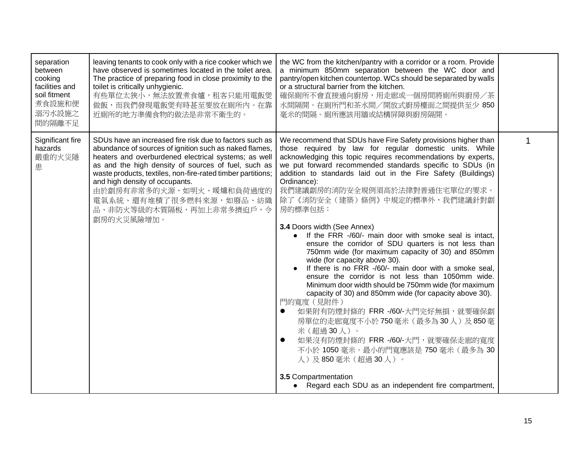| separation<br>between<br>cooking<br>facilities and<br>soil fitment<br>煮食設施和便<br>溺污水設施之<br>間的隔離不足 | leaving tenants to cook only with a rice cooker which we<br>have observed is sometimes located in the toilet area.<br>The practice of preparing food in close proximity to the<br>toilet is critically unhygienic.<br>有些單位太狹小,無法放置煮食爐,租客只能用電飯煲<br>做飯,而我們發現電飯煲有時甚至要放在廁所內。在靠<br>近廁所的地方準備食物的做法是非常不衛生的。                                                                                                                                | the WC from the kitchen/pantry with a corridor or a room. Provide<br>a minimum 850mm separation between the WC door and<br>pantry/open kitchen countertop. WCs should be separated by walls<br>or a structural barrier from the kitchen.<br>確保廁所不會直接通向廚房,用走廊或一個房間將廁所與廚房/茶<br>水間隔開。在廁所門和茶水間/開放式廚房檯面之間提供至少 850<br>毫米的間隔。廁所應該用牆或結構屏障與廚房隔開。                                                                                                                                                                                                                                                                                                                                                                                                                                                                                                                                                                                                                                                                                                                                                                                                                                                                    |  |
|--------------------------------------------------------------------------------------------------|------------------------------------------------------------------------------------------------------------------------------------------------------------------------------------------------------------------------------------------------------------------------------------------------------------------------------------------------------------------------------------------------------------------------------------|------------------------------------------------------------------------------------------------------------------------------------------------------------------------------------------------------------------------------------------------------------------------------------------------------------------------------------------------------------------------------------------------------------------------------------------------------------------------------------------------------------------------------------------------------------------------------------------------------------------------------------------------------------------------------------------------------------------------------------------------------------------------------------------------------------------------------------------------------------------------------------------------------------------------------------------------------------------------------------------------------------------------------------------------------------------------------------------------------------------------------------------------------------------------------------------------------------|--|
| Significant fire<br>hazards<br>嚴重的火災隱<br>患                                                       | SDUs have an increased fire risk due to factors such as<br>abundance of sources of ignition such as naked flames,<br>heaters and overburdened electrical systems; as well<br>as and the high density of sources of fuel, such as<br>waste products, textiles, non-fire-rated timber partitions;<br>and high density of occupants.<br>由於劏房有非常多的火源,如明火、暖爐和負荷過度的<br>電氣系統、還有堆積了很多燃料來源,如廢品、紡織<br>品、非防火等級的木質隔板,再加上非常多擠迫戶,令<br>劏房的火災風險增加。 | We recommend that SDUs have Fire Safety provisions higher than<br>those required by law for regular domestic units. While<br>acknowledging this topic requires recommendations by experts,<br>we put forward recommended standards specific to SDUs (in<br>addition to standards laid out in the Fire Safety (Buildings)<br>Ordinance):<br>我們建議劏房的消防安全規例須高於法律對普通住宅單位的要求。<br>除了《消防安全(建築)條例》中規定的標準外,我們建議針對劏<br>房的標準包括:<br>3.4 Doors width (See Annex)<br>If the FRR -/60/- main door with smoke seal is intact,<br>ensure the corridor of SDU quarters is not less than<br>750mm wide (for maximum capacity of 30) and 850mm<br>wide (for capacity above 30).<br>If there is no FRR -/60/- main door with a smoke seal,<br>ensure the corridor is not less than 1050mm wide.<br>Minimum door width should be 750mm wide (for maximum<br>capacity of 30) and 850mm wide (for capacity above 30).<br>門的寬度 (見附件)<br>如果附有防煙封條的 FRR -/60/-大門完好無損, 就要確保劏<br>$\bullet$<br>房單位的走廊寬度不小於750毫米(最多為30人)及850毫<br>米(超過30人)。<br>如果沒有防煙封條的 FRR -/60/-大門, 就要確保走廊的寬度<br>$\bullet$<br>不小於 1050 毫米。最小的門寬應該是 750 毫米 ( 最多為 30<br>人)及850毫米(超過30人)。<br>3.5 Compartmentation<br>• Regard each SDU as an independent fire compartment, |  |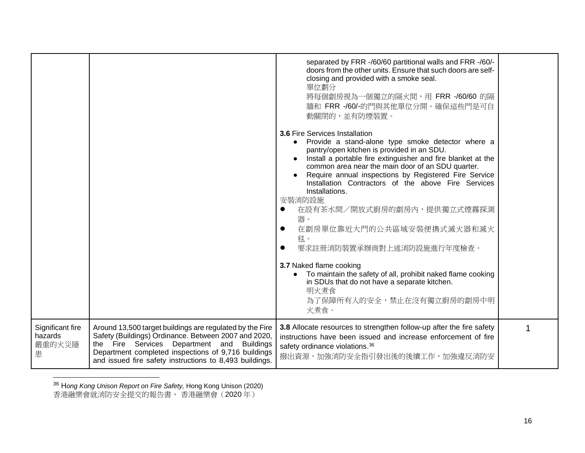|                                            |                                                                                                                                                                                                                                                                                  | separated by FRR -/60/60 partitional walls and FRR -/60/-<br>doors from the other units. Ensure that such doors are self-<br>closing and provided with a smoke seal.<br>單位劃分<br>將每個劏房視為一個獨立的隔火間,用 FRR -/60/60 的隔<br>牆和 FRR -/60/-的門與其他單位分開。確保這些門是可自<br>動關閉的,並有防煙裝置。                                                                                                                                                                                                                                                                                                                                                                                                                                                            |   |
|--------------------------------------------|----------------------------------------------------------------------------------------------------------------------------------------------------------------------------------------------------------------------------------------------------------------------------------|--------------------------------------------------------------------------------------------------------------------------------------------------------------------------------------------------------------------------------------------------------------------------------------------------------------------------------------------------------------------------------------------------------------------------------------------------------------------------------------------------------------------------------------------------------------------------------------------------------------------------------------------------------------------------------------------------------------------------------|---|
|                                            |                                                                                                                                                                                                                                                                                  | 3.6 Fire Services Installation<br>• Provide a stand-alone type smoke detector where a<br>pantry/open kitchen is provided in an SDU.<br>Install a portable fire extinguisher and fire blanket at the<br>common area near the main door of an SDU quarter.<br>Require annual inspections by Registered Fire Service<br>Installation Contractors of the above Fire Services<br>Installations.<br>安裝消防設施<br>在設有茶水間/開放式廚房的劏房內,提供獨立式煙霧探測<br>$\bullet$<br>器。<br>在劏房單位靠近大門的公共區域安裝便擕式滅火器和滅火<br>$\bullet$<br>毯。<br>要求註冊消防裝置承辦商對上述消防設施進行年度檢查。<br>$\bullet$<br>3.7 Naked flame cooking<br>To maintain the safety of all, prohibit naked flame cooking<br>in SDUs that do not have a separate kitchen.<br>明火煮食<br>為了保障所有人的安全,禁止在沒有獨立廚房的劏房中明 |   |
|                                            |                                                                                                                                                                                                                                                                                  | 火煮食。                                                                                                                                                                                                                                                                                                                                                                                                                                                                                                                                                                                                                                                                                                                           |   |
| Significant fire<br>hazards<br>嚴重的火災隱<br>患 | Around 13,500 target buildings are regulated by the Fire<br>Safety (Buildings) Ordinance. Between 2007 and 2020,<br>the Fire Services Department and Buildings<br>Department completed inspections of 9,716 buildings<br>and issued fire safety instructions to 8,493 buildings. | 3.8 Allocate resources to strengthen follow-up after the fire safety<br>instructions have been issued and increase enforcement of fire<br>safety ordinance violations. <sup>36</sup><br>撥出資源,加強消防安全指引發出後的後續工作,加強違反消防安                                                                                                                                                                                                                                                                                                                                                                                                                                                                                                          | 1 |

<sup>36</sup> H*ong Kong Unison Report on Fire Safety,* Hong Kong Unison (2020) 香港融樂會就消防安全提交的報告書, 香港融樂會(2020 年)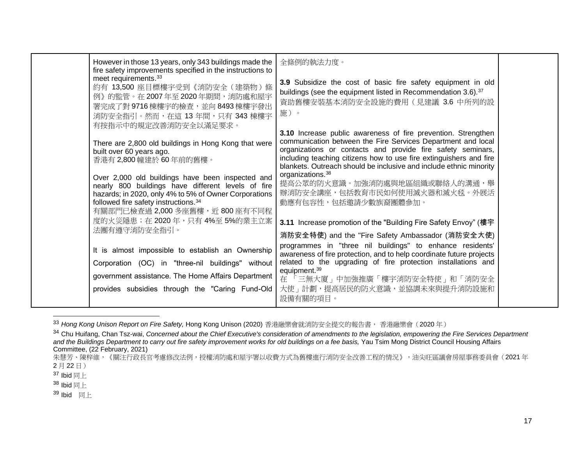| However in those 13 years, only 343 buildings made the<br>fire safety improvements specified in the instructions to<br>meet requirements. <sup>33</sup><br>約有 13,500 座目標樓宇受到《消防安全(建築物)條<br>例》的監管。在2007年至2020年期間,消防處和屋宇<br>署完成了對 9716 棟樓宇的檢查,並向 8493 棟樓宇發出<br>消防安全指引。然而,在這 13年間,只有 343 棟樓宇<br>有按指示中的規定改善消防安全以滿足要求。<br>There are 2,800 old buildings in Hong Kong that were<br>built over 60 years ago.<br>香港有 2,800 幢建於 60 年前的舊樓。<br>Over 2,000 old buildings have been inspected and<br>nearly 800 buildings have different levels of fire<br>hazards; in 2020, only 4% to 5% of Owner Corporations<br>followed fire safety instructions. <sup>34</sup><br>有關部門已檢查過 2,000 多座舊樓, 近 800 座有不同程<br>度的火災隱患;在2020年,只有4%至5%的業主立案<br>法團有遵守消防安全指引。<br>It is almost impossible to establish an Ownership<br>Corporation (OC) in "three-nil buildings" without<br>government assistance. The Home Affairs Department | 全條例的執法力度。<br>3.9 Subsidize the cost of basic fire safety equipment in old<br>buildings (see the equipment listed in Recommendation 3.6). <sup>37</sup><br>資助舊樓安裝基本消防安全設施的費用(見建議 3.6 中所列的設<br>施)。<br>3.10 Increase public awareness of fire prevention. Strengthen<br>communication between the Fire Services Department and local<br>organizations or contacts and provide fire safety seminars,<br>including teaching citizens how to use fire extinguishers and fire<br>blankets. Outreach should be inclusive and include ethnic minority<br>organizations. <sup>38</sup><br>提高公眾的防火意識。加強消防處與地區組織或聯絡人的溝通,舉<br>辦消防安全講座,包括教育市民如何使用滅火器和滅火毯。外展活<br>動應有包容性,包括邀請少數族裔團體參加。<br>3.11 Increase promotion of the "Building Fire Safety Envoy" (樓宇<br>消防安全特使) and the "Fire Safety Ambassador (消防安全大使)<br>programmes in "three nil buildings" to enhance residents'<br>awareness of fire protection, and to help coordinate future projects<br>related to the upgrading of fire protection installations and<br>equipment. <sup>39</sup><br>在 「三無大廈」中加強推廣 「樓宇消防安全特使」和 「消防安全 |  |
|-----------------------------------------------------------------------------------------------------------------------------------------------------------------------------------------------------------------------------------------------------------------------------------------------------------------------------------------------------------------------------------------------------------------------------------------------------------------------------------------------------------------------------------------------------------------------------------------------------------------------------------------------------------------------------------------------------------------------------------------------------------------------------------------------------------------------------------------------------------------------------------------------------------|--------------------------------------------------------------------------------------------------------------------------------------------------------------------------------------------------------------------------------------------------------------------------------------------------------------------------------------------------------------------------------------------------------------------------------------------------------------------------------------------------------------------------------------------------------------------------------------------------------------------------------------------------------------------------------------------------------------------------------------------------------------------------------------------------------------------------------------------------------------------------------------------------------------------------------------------------------------------------------------------------------------------------------------------------------------------|--|
|                                                                                                                                                                                                                                                                                                                                                                                                                                                                                                                                                                                                                                                                                                                                                                                                                                                                                                           |                                                                                                                                                                                                                                                                                                                                                                                                                                                                                                                                                                                                                                                                                                                                                                                                                                                                                                                                                                                                                                                                    |  |
|                                                                                                                                                                                                                                                                                                                                                                                                                                                                                                                                                                                                                                                                                                                                                                                                                                                                                                           |                                                                                                                                                                                                                                                                                                                                                                                                                                                                                                                                                                                                                                                                                                                                                                                                                                                                                                                                                                                                                                                                    |  |
| provides subsidies through the "Caring Fund-Old                                                                                                                                                                                                                                                                                                                                                                                                                                                                                                                                                                                                                                                                                                                                                                                                                                                           | 大使」計劃,提高居民的防火意識,並協調未來與提升消防設施和<br>設備有關的項目。                                                                                                                                                                                                                                                                                                                                                                                                                                                                                                                                                                                                                                                                                                                                                                                                                                                                                                                                                                                                                          |  |

<sup>33</sup> *Hong Kong Unison Report on Fire Safety,* Hong Kong Unison (2020) 香港融樂會就消防安全提交的報告書, 香港融樂會(2020 年)

<sup>&</sup>lt;sup>34</sup> Chu Huifang, Chan Tsz-wai, Concerned about the Chief Executive's consideration of amendments to the legislation, empowering the Fire Services Department *and the Buildings Department to carry out fire safety improvement works for old buildings on a fee basis,* Yau Tsim Mong District Council Housing Affairs Committee, (22 February, 2021)

朱慧芳、陳梓維,《關注行政長官考慮修改法例,授權消防處和屋宇署以收費方式為舊樓進行消防安全改善工程的情況》,油尖旺區議會房屋事務委員會(2021年 2 月 22 日)

 $37$  Ibid 同上

 $38$  Ibid 同上

<sup>39</sup> Ibid 同上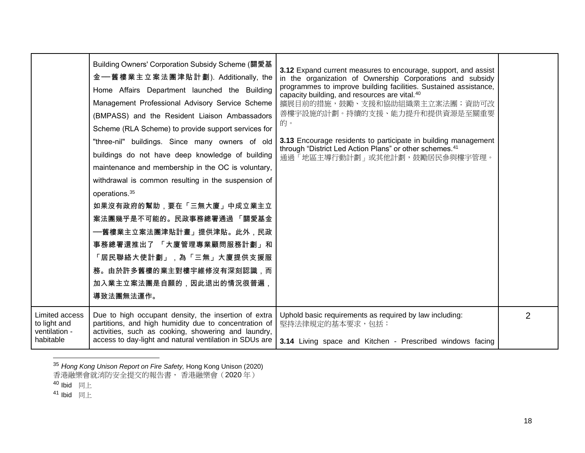|                                                              | Building Owners' Corporation Subsidy Scheme (關愛基<br>金—舊樓業主立案法團津貼計劃). Additionally, the<br>Home Affairs Department launched the Building<br>Management Professional Advisory Service Scheme<br>(BMPASS) and the Resident Liaison Ambassadors<br>Scheme (RLA Scheme) to provide support services for<br>"three-nil" buildings. Since many owners of old<br>buildings do not have deep knowledge of building<br>maintenance and membership in the OC is voluntary,<br>withdrawal is common resulting in the suspension of<br>operations. <sup>35</sup><br>如果沒有政府的幫助,要在「三無大廈」中成立業主立<br>案法團幾乎是不可能的。民政事務總署通過 「關愛基金<br>──舊樓業主立案法團津貼計畫」提供津貼。此外,民政<br>事務總署還推出了 「大廈管理專業顧問服務計劃」和<br>「居民聯絡大使計劃」,為「三無」大廈提供支援服<br>務。由於許多舊樓的業主對樓宇維修沒有深刻認識,而<br>加入業主立案法團是自願的,因此退出的情況很普遍,<br>導致法團無法運作。 | 3.12 Expand current measures to encourage, support, and assist<br>in the organization of Ownership Corporations and subsidy<br>programmes to improve building facilities. Sustained assistance,<br>capacity building, and resources are vital. <sup>40</sup><br>擴展目前的措施,鼓勵、支援和協助組織業主立案法團;資助可改<br>善樓宇設施的計劃。持續的支援、能力提升和提供資源是至關重要<br>的。<br>3.13 Encourage residents to participate in building management<br>through "District Led Action Plans" or other schemes. <sup>41</sup><br>通過「地區主導行動計劃」或其他計劃,鼓勵居民參與樓宇管理。 |   |
|--------------------------------------------------------------|-----------------------------------------------------------------------------------------------------------------------------------------------------------------------------------------------------------------------------------------------------------------------------------------------------------------------------------------------------------------------------------------------------------------------------------------------------------------------------------------------------------------------------------------------------------------------------------------------------------------------------------------------------------------------------------------------------------------------------------------------------------------------|----------------------------------------------------------------------------------------------------------------------------------------------------------------------------------------------------------------------------------------------------------------------------------------------------------------------------------------------------------------------------------------------------------------------------------------------------------------------------------------------------------------|---|
| Limited access<br>to light and<br>ventilation -<br>habitable | Due to high occupant density, the insertion of extra<br>partitions, and high humidity due to concentration of<br>activities, such as cooking, showering and laundry,<br>access to day-light and natural ventilation in SDUs are                                                                                                                                                                                                                                                                                                                                                                                                                                                                                                                                       | Uphold basic requirements as required by law including:<br>堅持法律規定的基本要求,包括:<br>3.14 Living space and Kitchen - Prescribed windows facing                                                                                                                                                                                                                                                                                                                                                                        | 2 |

<sup>35</sup> *Hong Kong Unison Report on Fire Safety,* Hong Kong Unison (2020)

香港融樂會就消防安全提交的報告書, 香港融樂會(2020 年)

 $^{40}$  Ibid 同上

<sup>41</sup> Ibid 同上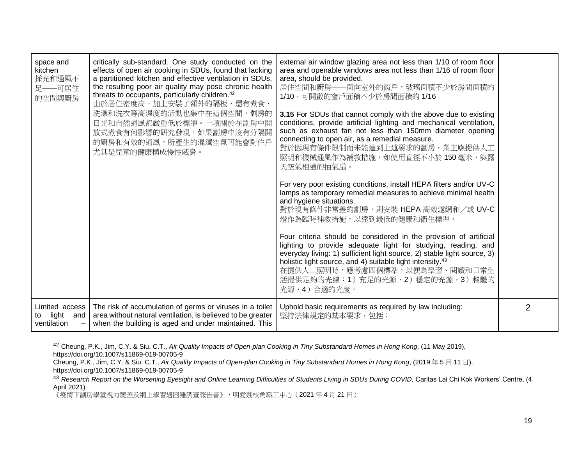| space and<br>kitchen<br>採光和通風不<br>足——可居住<br>的空間與廚房  | critically sub-standard. One study conducted on the<br>effects of open air cooking in SDUs, found that lacking<br>a partitioned kitchen and effective ventilation in SDUs,<br>the resulting poor air quality may pose chronic health<br>threats to occupants, particularly children. <sup>42</sup><br>由於居住密度高,加上安裝了額外的隔板,還有煮食、<br>洗澡和洗衣等高濕度的活動也集中在這個空間, 劏房的<br>日光和自然通風都嚴重低於標準。一項關於在劏房中開<br>放式煮食有何影響的研究發現,如果劏房中沒有分隔開<br>的廚房和有效的通風,所產生的混濁空氣可能會對住戶<br>尤其是兒童的健康構成慢性威脅。 | external air window glazing area not less than 1/10 of room floor<br>area and openable windows area not less than 1/16 of room floor<br>area, should be provided.<br>居住空間和廚房——面向室外的窗戶,玻璃面積不少於房間面積的<br>1/10,可開啟的窗戶面積不少於房間面積的 1/16。<br>3.15 For SDUs that cannot comply with the above due to existing<br>conditions, provide artificial lighting and mechanical ventilation,<br>such as exhaust fan not less than 150mm diameter opening<br>connecting to open air, as a remedial measure.<br>對於因現有條件限制而未能達到上述要求的劏房,業主應提供人工<br>照明和機械通風作為補救措施,如使用直徑不小於 150 毫米,與露<br>天空氣相通的抽氣扇。<br>For very poor existing conditions, install HEPA filters and/or UV-C<br>lamps as temporary remedial measures to achieve minimal health<br>and hygiene situations.<br>對於現有條件非常差的劏房,則安裝 HEPA 高效濾網和/或 UV-C<br>燈作為臨時補救措施,以達到最低的健康和衛生標準。<br>Four criteria should be considered in the provision of artificial<br>lighting to provide adequate light for studying, reading, and<br>everyday living: 1) sufficient light source, 2) stable light source, 3)<br>holistic light source, and 4) suitable light intensity. <sup>43</sup><br>在提供人工照明時,應考慮四個標準,以便為學習、閱讀和日常生<br>活提供足夠的光線:1)充足的光源,2)穩定的光源,3)整體的<br>光源,4)合適的光度。 |                |
|-----------------------------------------------------|--------------------------------------------------------------------------------------------------------------------------------------------------------------------------------------------------------------------------------------------------------------------------------------------------------------------------------------------------------------------------------------------------------------------------------------------------------------------|------------------------------------------------------------------------------------------------------------------------------------------------------------------------------------------------------------------------------------------------------------------------------------------------------------------------------------------------------------------------------------------------------------------------------------------------------------------------------------------------------------------------------------------------------------------------------------------------------------------------------------------------------------------------------------------------------------------------------------------------------------------------------------------------------------------------------------------------------------------------------------------------------------------------------------------------------------------------------------------------------------------------------------------------------------------------------------------------------------------------------------------------------------------------------------------------|----------------|
| Limited access<br>light<br>and<br>to<br>ventilation | The risk of accumulation of germs or viruses in a toilet<br>area without natural ventilation, is believed to be greater<br>when the building is aged and under maintained. This                                                                                                                                                                                                                                                                                    | Uphold basic requirements as required by law including:<br>堅持法律規定的基本要求,包括:                                                                                                                                                                                                                                                                                                                                                                                                                                                                                                                                                                                                                                                                                                                                                                                                                                                                                                                                                                                                                                                                                                                     | $\overline{2}$ |

<sup>42</sup> Cheung, P.K., Jim, C.Y. & Siu, C.T., *Air Quality Impacts of Open-plan Cooking in Tiny Substandard Homes in Hong Kong*, (11 May 2019), <https://doi.org/10.1007/s11869-019-00705-9>

《疫情下劏房學童視力變差及網上學習遇困難調查報告書》,明愛荔枝角職工中心(2021年4月21日)

Cheung, P.K., Jim, C.Y. & Siu, C.T., *Air Quality Impacts of Open-plan Cooking in Tiny Substandard Homes in Hong Kong*, (2019 年 5 月 11 日), https://doi.org/10.1007/s11869-019-00705-9

<sup>&</sup>lt;sup>43</sup> Research Report on the Worsening Eyesight and Online Learning Difficulties of Students Living in SDUs During COVID, Caritas Lai Chi Kok Workers' Centre, (4 April 2021)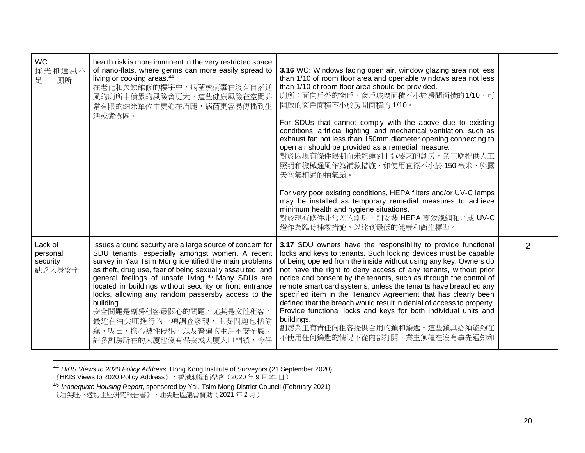| <b>WC</b><br>採光和通風不<br>足 一廁所              | health risk is more imminent in the very restricted space<br>of nano-flats, where germs can more easily spread to<br>living or cooking areas. <sup>44</sup><br>在老化和欠缺維修的樓宇中,病菌或病毒在沒有自然通<br>風的廁所中積累的風險會更大。這些健康風險在空間非<br>常有限的納米單位中更迫在眉睫,病菌更容易傳播到生<br>活或煮食區。                                                                                                                                                                                                                                                                            | 3.16 WC: Windows facing open air, window glazing area not less<br>than 1/10 of room floor area and openable windows area not less<br>than 1/10 of room floor area should be provided.<br>廁所:面向戶外的窗戶,窗戶玻璃面積不小於房間面積的1/10,可<br>開啟的窗戶面積不小於房間面積的 1/10。<br>For SDUs that cannot comply with the above due to existing<br>conditions, artificial lighting, and mechanical ventilation, such as<br>exhaust fan not less than 150mm diameter opening connecting to<br>open air should be provided as a remedial measure.<br>對於因現有條件限制而未能達到上述要求的劏房,業主應提供人工<br>照明和機械通風作為補救措施,如使用直徑不小於150毫米,與露<br>天空氣相通的抽氣扇。<br>For very poor existing conditions, HEPA filters and/or UV-C lamps<br>may be installed as temporary remedial measures to achieve<br>minimum health and hygiene situations.<br>對於現有條件非常差的劏房,則安裝 HEPA 高效濾網和/或 UV-C<br>燈作為臨時補救措施,以達到最低的健康和衛生標準。 |                |
|-------------------------------------------|--------------------------------------------------------------------------------------------------------------------------------------------------------------------------------------------------------------------------------------------------------------------------------------------------------------------------------------------------------------------------------------------------------------------------------------------------------------------------------------------------------------------------------------|-------------------------------------------------------------------------------------------------------------------------------------------------------------------------------------------------------------------------------------------------------------------------------------------------------------------------------------------------------------------------------------------------------------------------------------------------------------------------------------------------------------------------------------------------------------------------------------------------------------------------------------------------------------------------------------------------------------------------------------------------------------------------------------------------------------------------------------------------|----------------|
| Lack of<br>personal<br>security<br>缺乏人身安全 | Issues around security are a large source of concern for<br>SDU tenants, especially amongst women. A recent<br>survey in Yau Tsim Mong identified the main problems<br>as theft, drug use, fear of being sexually assaulted, and<br>general feelings of unsafe living. 45 Many SDUs are<br>located in buildings without security or front entrance<br>locks, allowing any random passersby access to the<br>building.<br>安全問題是劏房租客最關心的問題,尤其是女性租客。<br>最近在油尖旺進行的一項調查發現,主要問題包括偷<br>竊、吸毒、擔心被性侵犯,以及普遍的生活不安全感。<br>許多劏房所在的大廈也沒有保安或大廈入口門鎖,令任 | 3.17 SDU owners have the responsibility to provide functional<br>locks and keys to tenants. Such locking devices must be capable<br>of being opened from the inside without using any key. Owners do<br>not have the right to deny access of any tenants, without prior<br>notice and consent by the tenants, such as through the control of<br>remote smart card systems, unless the tenants have breached any<br>specified item in the Tenancy Agreement that has clearly been<br>defined that the breach would result in denial of access to property.<br>Provide functional locks and keys for both individual units and<br>buildings.<br>劏房業主有責任向租客提供合用的鎖和鑰匙。這些鎖具必須能夠在<br>不使用任何鑰匙的情況下從內部打開。業主無權在沒有事先通知和                                                                                                                                    | $\overline{2}$ |

<sup>44</sup> *HKIS Views to 2020 Policy Address*, Hong Kong Institute of Surveyors (21 September 2020) 《HKIS Views to 2020 Policy Address》,香港測量師學會(2020 年 9 月 21 日)

<sup>45</sup> *Inadequate Housing Report*, sponsored by Yau Tsim Mong District Council (February 2021) ,

<sup>《</sup>油尖旺不適切住屋研究報告書》,油尖旺區議會贊助(2021 年 2 月)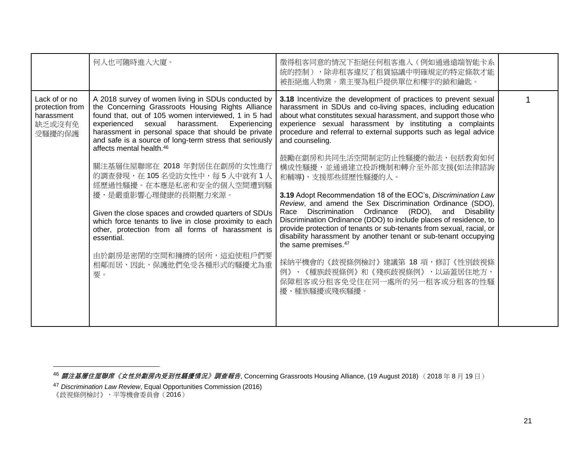|                                                                    | 何人也可隨時進入大廈。                                                                                                                                                                                                                                                                                                                                                                    | 徵得租客同意的情況下拒絕任何租客進入(例如通過遠端智能卡系<br>統的控制),除非租客違反了租賃協議中明確規定的特定條款才能<br>被拒絕進入物業。業主要為租戶提供單位和樓宇的鎖和鑰匙。                                                                                                                                                                                                                                                                                                                                         |  |
|--------------------------------------------------------------------|--------------------------------------------------------------------------------------------------------------------------------------------------------------------------------------------------------------------------------------------------------------------------------------------------------------------------------------------------------------------------------|---------------------------------------------------------------------------------------------------------------------------------------------------------------------------------------------------------------------------------------------------------------------------------------------------------------------------------------------------------------------------------------------------------------------------------------|--|
| Lack of or no<br>protection from<br>harassment<br>缺乏或沒有免<br>受騷擾的保護 | A 2018 survey of women living in SDUs conducted by<br>the Concerning Grassroots Housing Rights Alliance<br>found that, out of 105 women interviewed, 1 in 5 had<br>harassment.<br>Experiencing<br>experienced sexual<br>harassment in personal space that should be private<br>and safe is a source of long-term stress that seriously<br>affects mental health. <sup>46</sup> | 3.18 Incentivize the development of practices to prevent sexual<br>harassment in SDUs and co-living spaces, including education<br>about what constitutes sexual harassment, and support those who<br>experience sexual harassment by instituting a complaints<br>procedure and referral to external supports such as legal advice<br>and counseling.<br>鼓勵在劏房和共同生活空間制定防止性騷擾的做法,包括教育如何                                                |  |
|                                                                    | 關注基層住屋聯席在 2018 年對居住在劏房的女性進行<br>的調查發現,在105名受訪女性中,每5人中就有1人<br>經歷過性騷擾。在本應是私密和安全的個人空間遭到騷                                                                                                                                                                                                                                                                                           | 構成性騷擾,並通過建立投訴機制和轉介至外部支援(如法律諮詢<br>和輔導), 支援那些經歷性騷擾的人。                                                                                                                                                                                                                                                                                                                                                                                   |  |
|                                                                    | 擾,是嚴重影響心理健康的長期壓力來源。<br>Given the close spaces and crowded quarters of SDUs<br>which force tenants to live in close proximity to each<br>other, protection from all forms of harassment is<br>essential.                                                                                                                                                                        | 3.19 Adopt Recommendation 18 of the EOC's, Discrimination Law<br>Review, and amend the Sex Discrimination Ordinance (SDO),<br>Race Discrimination Ordinance (RDO), and Disability<br>Discrimination Ordinance (DDO) to include places of residence, to<br>provide protection of tenants or sub-tenants from sexual, racial, or<br>disability harassment by another tenant or sub-tenant occupying<br>the same premises. <sup>47</sup> |  |
|                                                                    | 由於劏房是密閉的空間和擁擠的居所,這迫使租戶們要<br>相鄰而居,因此,保護他們免受各種形式的騷擾尤為重<br>要。                                                                                                                                                                                                                                                                                                                     | 採納平機會的《歧視條例檢討》建議第 18 項,修訂《性別歧視條<br>例》、《種族歧視條例》和《殘疾歧視條例》,以涵蓋居住地方,<br>保障租客或分租客免受住在同一處所的另一租客或分租客的性騷<br>擾、種族騷擾或殘疾騷擾。                                                                                                                                                                                                                                                                                                                      |  |

<sup>&</sup>lt;sup>46</sup> *關注基層住屋聯席《女性於劏房內受到性騷擾情況》調查報告*, Concerning Grassroots Housing Alliance, (19 August 2018) (2018 年 8 月 19 日 )

<sup>47</sup> *Discrimination Law Review*, Equal Opportunities Commission (2016)

<sup>《</sup>歧視條例檢討》,平等機會委員會(2016)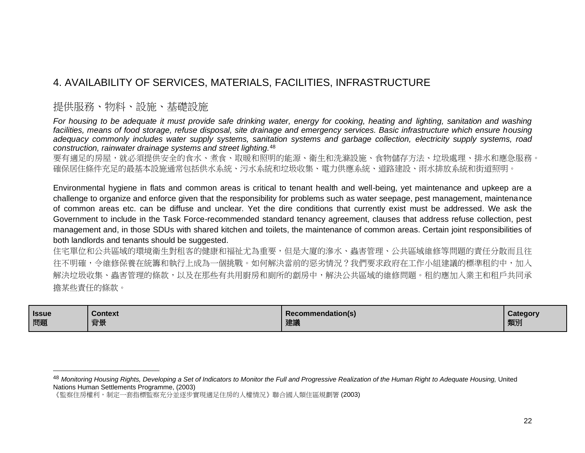### <span id="page-21-0"></span>4. AVAILABILITY OF SERVICES, MATERIALS, FACILITIES, INFRASTRUCTURE

#### 提供服務、物料、設施、基礎設施

*For housing to be adequate it must provide safe drinking water, energy for cooking, heating and lighting, sanitation and washing facilities, means of food storage, refuse disposal, site drainage and emergency services. Basic infrastructure which ensure housing adequacy commonly includes water supply systems, sanitation systems and garbage collection, electricity supply systems, road construction, rainwater drainage systems and street lighting.*<sup>48</sup>

要有適足的房屋,就必須提供安全的食水、煮食、取暖和照明的能源、衛生和洗滌設施、食物儲存方法、垃圾處理、排水和應急服務。 確保居住條件充足的最基本設施通常包括供水系統、污水系統和垃圾收集、電力供應系統、道路建設、雨水排放系統和街道照明。

Environmental hygiene in flats and common areas is critical to tenant health and well-being, yet maintenance and upkeep are a challenge to organize and enforce given that the responsibility for problems such as water seepage, pest management, maintenance of common areas etc. can be diffuse and unclear. Yet the dire conditions that currently exist must be addressed. We ask the Government to include in the Task Force-recommended standard tenancy agreement, clauses that address refuse collection, pest management and, in those SDUs with shared kitchen and toilets, the maintenance of common areas. Certain joint responsibilities of both landlords and tenants should be suggested.

住宅單位和公共區域的環境衛生對租客的健康和福祉尤為重要,但是大廈的滲水、蟲害管理、公共區域維修等問題的責任分散而且往 往不明確,令維修保養在統籌和執行上成為一個挑戰。如何解決當前的惡劣情況?我們要求政府在工作小組建議的標準租約中,加入 解決垃圾收集、蟲害管理的條款,以及在那些有共用廚房和廁所的劏房中,解決公共區域的維修問題。租約應加入業主和租戶共同承 擔某些責任的條款。

| <b>Issue</b> | <b>Context</b> | Recommendation(s) | Category |
|--------------|----------------|-------------------|----------|
| 問題           | 背景             | 建議                | 類別       |

<sup>&</sup>lt;sup>48</sup> Monitoring Housing Rights, Developing a Set of Indicators to Monitor the Full and Progressive Realization of the Human Right to Adequate Housing, United Nations Human Settlements Programme, (2003)

<sup>《</sup>監察住房權利,制定一套指標監察充分並逐步實現適足住房的人權情況》聯合國人類住區規劃署 (2003)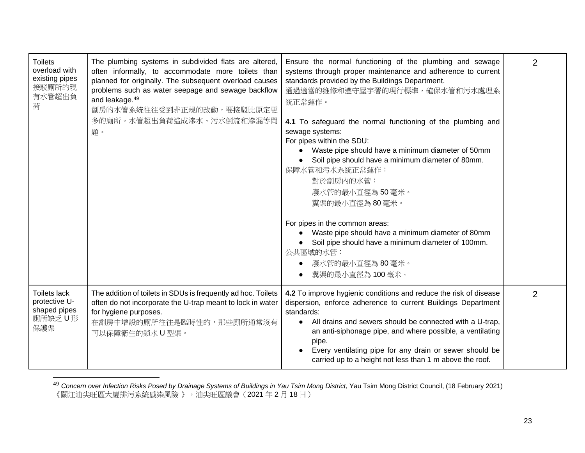| <b>Toilets</b><br>overload with<br>existing pipes<br>接駁廁所的現<br>有水管超出負<br>荷 | The plumbing systems in subdivided flats are altered,<br>often informally, to accommodate more toilets than<br>planned for originally. The subsequent overload causes<br>problems such as water seepage and sewage backflow<br>and leakage. <sup>49</sup><br>劏房的水管系統往往受到非正規的改動,要接駁比原定更<br>多的廁所。水管超出負荷造成滲水、污水倒流和滲漏等問<br>題。 | Ensure the normal functioning of the plumbing and sewage<br>systems through proper maintenance and adherence to current<br>standards provided by the Buildings Department.<br>通過適當的維修和遵守屋宇署的現行標準,確保水管和污水處理系<br>統正常運作。<br>4.1 To safeguard the normal functioning of the plumbing and<br>sewage systems:<br>For pipes within the SDU:<br>Waste pipe should have a minimum diameter of 50mm<br>Soil pipe should have a minimum diameter of 80mm.<br>保障水管和污水系統正常運作:<br>對於劏房內的水管:<br>廢水管的最小直徑為50毫米。<br>糞渠的最小直徑為80毫米。<br>For pipes in the common areas:<br>Waste pipe should have a minimum diameter of 80mm<br>Soil pipe should have a minimum diameter of 100mm.<br>公共區域的水管:<br>廢水管的最小直徑為80毫米。<br>糞渠的最小直徑為100毫米。 | 2              |
|----------------------------------------------------------------------------|---------------------------------------------------------------------------------------------------------------------------------------------------------------------------------------------------------------------------------------------------------------------------------------------------------------------------|---------------------------------------------------------------------------------------------------------------------------------------------------------------------------------------------------------------------------------------------------------------------------------------------------------------------------------------------------------------------------------------------------------------------------------------------------------------------------------------------------------------------------------------------------------------------------------------------------------------------------------------------------------------------------------------------------------------|----------------|
| Toilets lack<br>protective U-<br>shaped pipes<br>廁所缺乏U形<br>保護渠             | The addition of toilets in SDUs is frequently ad hoc. Toilets<br>often do not incorporate the U-trap meant to lock in water<br>for hygiene purposes.<br>在劏房中增設的廁所往往是臨時性的,那些廁所通常沒有<br>可以保障衛生的鎖水U型渠。                                                                                                                        | 4.2 To improve hygienic conditions and reduce the risk of disease<br>dispersion, enforce adherence to current Buildings Department<br>standards:<br>All drains and sewers should be connected with a U-trap,<br>$\bullet$<br>an anti-siphonage pipe, and where possible, a ventilating<br>pipe.<br>Every ventilating pipe for any drain or sewer should be<br>carried up to a height not less than 1 m above the roof.                                                                                                                                                                                                                                                                                        | $\overline{2}$ |

<sup>49</sup> Concern over Infection Risks Posed by Drainage Systems of Buildings in Yau Tsim Mong District, Yau Tsim Mong District Council, (18 February 2021) 《關注油尖旺區大廈排污系統感染風險 》,油尖旺區議會(2021 年 2 月 18 日 )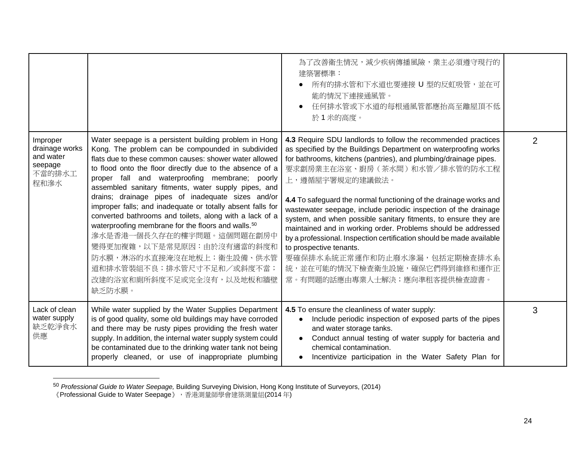|                                                                      |                                                                                                                                                                                                                                                                                                                                                                                                                                                                                                                                                                                                                                                                                                                                                        | 為了改善衛生情況,減少疾病傳播風險,業主必須遵守現行的<br>建築署標準:<br>所有的排水管和下水道也要連接 U 型的反虹吸管,並在可<br>能的情況下連接通風管。<br>任何排水管或下水道的每根通風管都應抬高至離屋頂不低<br>於1米的高度。                                                                                                                                                                                                                                                                                                                                                                                                                                                                                                                                                                                                              |                |
|----------------------------------------------------------------------|--------------------------------------------------------------------------------------------------------------------------------------------------------------------------------------------------------------------------------------------------------------------------------------------------------------------------------------------------------------------------------------------------------------------------------------------------------------------------------------------------------------------------------------------------------------------------------------------------------------------------------------------------------------------------------------------------------------------------------------------------------|------------------------------------------------------------------------------------------------------------------------------------------------------------------------------------------------------------------------------------------------------------------------------------------------------------------------------------------------------------------------------------------------------------------------------------------------------------------------------------------------------------------------------------------------------------------------------------------------------------------------------------------------------------------------------------------------------------------------------------------|----------------|
| Improper<br>drainage works<br>and water<br>seepage<br>不當的排水工<br>程和滲水 | Water seepage is a persistent building problem in Hong<br>Kong. The problem can be compounded in subdivided<br>flats due to these common causes: shower water allowed<br>to flood onto the floor directly due to the absence of a<br>proper fall and waterproofing membrane; poorly<br>assembled sanitary fitments, water supply pipes, and<br>drains; drainage pipes of inadequate sizes and/or<br>improper falls; and inadequate or totally absent falls for<br>converted bathrooms and toilets, along with a lack of a<br>waterproofing membrane for the floors and walls. <sup>50</sup><br>滲水是香港一個長久存在的樓宇問題。這個問題在劏房中<br>變得更加複雜,以下是常見原因:由於沒有適當的斜度和<br>防水膜,淋浴的水直接淹沒在地板上;衛生設備、供水管<br>道和排水管裝組不良;排水管尺寸不足和/或斜度不當;<br>改建的浴室和廁所斜度不足或完全沒有,以及地板和牆壁<br>缺乏防水膜。 | 4.3 Require SDU landlords to follow the recommended practices<br>as specified by the Buildings Department on waterproofing works<br>for bathrooms, kitchens (pantries), and plumbing/drainage pipes.<br>要求劏房業主在浴室、廚房(茶水間)和水管/排水管的防水工程<br>上,遵循屋宇署規定的建議做法。<br>4.4 To safeguard the normal functioning of the drainage works and<br>wastewater seepage, include periodic inspection of the drainage<br>system, and when possible sanitary fitments, to ensure they are<br>maintained and in working order. Problems should be addressed<br>by a professional. Inspection certification should be made available<br>to prospective tenants.<br>要確保排水系統正常運作和防止廢水滲漏,包括定期檢查排水系<br>統,並在可能的情況下檢查衛生設施,確保它們得到維修和運作正<br>常。有問題的話應由專業人士解決;應向準租客提供檢查證書。 | $\overline{2}$ |
| Lack of clean<br>water supply<br>缺乏乾淨食水<br>供應                        | While water supplied by the Water Supplies Department<br>is of good quality, some old buildings may have corroded<br>and there may be rusty pipes providing the fresh water<br>supply. In addition, the internal water supply system could<br>be contaminated due to the drinking water tank not being<br>properly cleaned, or use of inappropriate plumbing                                                                                                                                                                                                                                                                                                                                                                                           | 4.5 To ensure the cleanliness of water supply:<br>Include periodic inspection of exposed parts of the pipes<br>and water storage tanks.<br>Conduct annual testing of water supply for bacteria and<br>chemical contamination.<br>Incentivize participation in the Water Safety Plan for                                                                                                                                                                                                                                                                                                                                                                                                                                                  | 3              |

<sup>50</sup> *Professional Guide to Water Seepage,* Building Surveying Division, Hong Kong Institute of Surveyors, (2014)

<sup>《</sup>Professional Guide to Water Seepage》,香港測量師學會建築測量組(2014 年)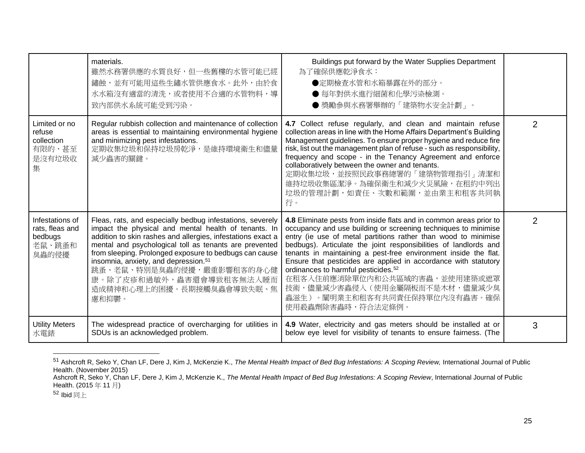|                                                                  | materials.<br>雖然水務署供應的水質良好,但一些舊樓的水管可能已經<br>鏽蝕,並有可能用這些生鏽水管供應食水。此外,由於食<br>水水箱沒有適當的清洗,或者使用不合適的水管物料,導<br>致内部供水系統可能受到污染。                                                                                                                                                                                                                                                                                                                                     | Buildings put forward by the Water Supplies Department<br>為了確保供應乾淨食水:<br>●定期檢查水管和水箱暴露在外的部分。<br>● 每年對供水進行細菌和化學污染檢測。<br>● 獎勵參與水務署舉辦的「建築物水安全計劃」。                                                                                                                                                                                                                                                                                                                                                                                                                                               |   |
|------------------------------------------------------------------|---------------------------------------------------------------------------------------------------------------------------------------------------------------------------------------------------------------------------------------------------------------------------------------------------------------------------------------------------------------------------------------------------------------------------------------------------------|---------------------------------------------------------------------------------------------------------------------------------------------------------------------------------------------------------------------------------------------------------------------------------------------------------------------------------------------------------------------------------------------------------------------------------------------------------------------------------------------------------------------------------------------------------------------------------------------|---|
| Limited or no<br>refuse<br>collection<br>有限的、甚至<br>是沒有垃圾收<br>集   | Regular rubbish collection and maintenance of collection<br>areas is essential to maintaining environmental hygiene<br>and minimizing pest infestations.<br>定期收集垃圾和保持垃圾房乾淨,是維持環境衛生和儘量<br>減少蟲害的關鍵。                                                                                                                                                                                                                                                       | 4.7 Collect refuse regularly, and clean and maintain refuse<br>collection areas in line with the Home Affairs Department's Building<br>Management guidelines. To ensure proper hygiene and reduce fire<br>risk, list out the management plan of refuse - such as responsibility,<br>frequency and scope - in the Tenancy Agreement and enforce<br>collaboratively between the owner and tenants.<br>定期收集垃圾,並按照民政事務總署的「建築物管理指引」清潔和<br>維持垃圾收集區潔淨。為確保衛生和減少火災風險,在租約中列出<br>垃圾的管理計劃,如責任、次數和範圍,並由業主和租客共同執<br>行。                                                                                    | 2 |
| Infestations of<br>rats, fleas and<br>bedbugs<br>老鼠、跳蚤和<br>臭蟲的侵擾 | Fleas, rats, and especially bedbug infestations, severely<br>impact the physical and mental health of tenants. In<br>addition to skin rashes and allergies, infestations exact a<br>mental and psychological toll as tenants are prevented<br>from sleeping. Prolonged exposure to bedbugs can cause<br>insomnia, anxiety, and depression. <sup>51</sup><br>跳蚤、老鼠、特別是臭蟲的侵擾,嚴重影響租客的身心健<br>康。除了皮疹和過敏外,蟲害還會導致租客無法入睡而<br>造成精神和心理上的困擾。長期接觸臭蟲會導致失眠、焦<br>慮和抑鬱。 | 4.8 Eliminate pests from inside flats and in common areas prior to<br>occupancy and use building or screening techniques to minimise<br>entry (ie use of metal partitions rather than wood to minimise<br>bedbugs). Articulate the joint responsibilities of landlords and<br>tenants in maintaining a pest-free environment inside the flat.<br>Ensure that pesticides are applied in accordance with statutory<br>ordinances to harmful pesticides. <sup>52</sup><br>在租客入住前應消除單位內和公共區域的害蟲,並使用建築或遮罩<br>技術,儘量減少害蟲侵入(使用金屬隔板而不是木材,儘量減少臭<br>蟲滋生)。闡明業主和租客有共同責任保持單位內沒有蟲害。確保<br>使用殺蟲劑除害蟲時,符合法定條例。 | 2 |
| <b>Utility Meters</b><br>水電錶                                     | The widespread practice of overcharging for utilities in<br>SDUs is an acknowledged problem.                                                                                                                                                                                                                                                                                                                                                            | 4.9 Water, electricity and gas meters should be installed at or<br>below eye level for visibility of tenants to ensure fairness. (The                                                                                                                                                                                                                                                                                                                                                                                                                                                       | 3 |

<sup>&</sup>lt;sup>51</sup> Ashcroft R, Seko Y, Chan LF, Dere J, Kim J, McKenzie K., The Mental Health Impact of Bed Bug Infestations: A Scoping Review, International Journal of Public Health. (November 2015)

 $52$  Ibid 同上

Ashcroft R, Seko Y, Chan LF, Dere J, Kim J, McKenzie K., The Mental Health Impact of Bed Bug Infestations: A Scoping Review, International Journal of Public Health. (2015 年 11 月)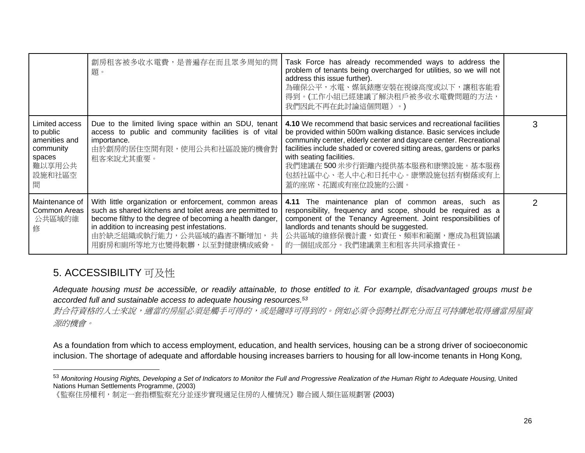|                                                                                              | 劏房租客被多收水電費,是普遍存在而且眾多周知的問<br>題。                                                                                                                                                                                                                                                           | Task Force has already recommended ways to address the<br>problem of tenants being overcharged for utilities, so we will not<br>address this issue further).<br>為確保公平,水電、媒氣錶應安裝在視線高度或以下,讓租客能看<br>得到。(工作小組已經建議了解決租戶被多收水電費問題的方法,<br>我們因此不再在此討論這個問題)。)                                                                                                                                                      |   |
|----------------------------------------------------------------------------------------------|------------------------------------------------------------------------------------------------------------------------------------------------------------------------------------------------------------------------------------------------------------------------------------------|----------------------------------------------------------------------------------------------------------------------------------------------------------------------------------------------------------------------------------------------------------------------------------------------------------------------------------------------------------------------------------------------------------|---|
| Limited access<br>to public<br>amenities and<br>community<br>spaces<br>難以享用公共<br>設施和社區空<br>間 | Due to the limited living space within an SDU, tenant<br>access to public and community facilities is of vital<br>importance.<br>由於劏房的居住空間有限,使用公共和社區設施的機會對<br>租客來說尤其重要。                                                                                                                  | 4.10 We recommend that basic services and recreational facilities<br>be provided within 500m walking distance. Basic services include<br>community center, elderly center and daycare center. Recreational<br>facilities include shaded or covered sitting areas, gardens or parks<br>with seating facilities.<br>我們建議在 500 米步行距離內提供基本服務和康樂設施。基本服務<br>包括社區中心、老人中心和日托中心。康樂設施包括有樹蔭或有上<br>蓋的座席、花園或有座位設施的公園。 | 3 |
| Maintenance of<br>Common Areas<br>公共區域的維<br>修                                                | With little organization or enforcement, common areas<br>such as shared kitchens and toilet areas are permitted to<br>become filthy to the degree of becoming a health danger,<br>in addition to increasing pest infestations.<br>由於缺乏組織或執行能力,公共區域的蟲害不斷增加,共<br>用廚房和廁所等地方也變得骯髒,以至對健康構成威脅。 | 4.11 The maintenance plan of common areas, such as<br>responsibility, frequency and scope, should be required as a<br>component of the Tenancy Agreement. Joint responsibilities of<br>landlords and tenants should be suggested.<br>公共區域的維修保養計畫,如責任、頻率和範圍,應成為租賃協議<br>的一個組成部分。我們建議業主和租客共同承擔責任。                                                                                                           |   |

## <span id="page-25-0"></span>5. ACCESSIBILITY 可及性

*Adequate housing must be accessible, or readily attainable, to those entitled to it. For example, disadvantaged groups must be accorded full and sustainable access to adequate housing resources.<sup>53</sup>*

對合符資格的人士來說,適當的房屋必須是觸手可得的,或是隨時可得到的。例如必須令弱勢社群充分而且可持續地取得適當房屋資 源的機會。

As a foundation from which to access employment, education, and health services, housing can be a strong driver of socioeconomic inclusion. The shortage of adequate and affordable housing increases barriers to housing for all low-income tenants in Hong Kong,

<sup>&</sup>lt;sup>53</sup> Monitoring Housing Rights, Developing a Set of Indicators to Monitor the Full and Progressive Realization of the Human Right to Adequate Housing, United Nations Human Settlements Programme, (2003)

<sup>《</sup>監察住房權利,制定一套指標監察充分並逐步實現適足住房的人權情況》聯合國人類住區規劃署 (2003)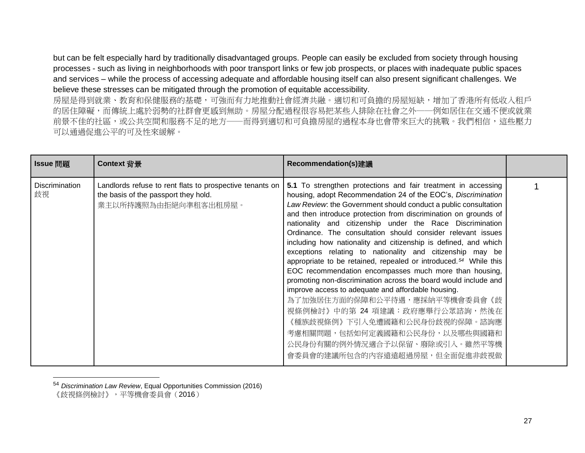but can be felt especially hard by traditionally disadvantaged groups. People can easily be excluded from society through housing processes - such as living in neighborhoods with poor transport links or few job prospects, or places with inadequate public spaces and services – while the process of accessing adequate and affordable housing itself can also present significant challenges. We believe these stresses can be mitigated through the promotion of equitable accessibility.

房屋是得到就業、教育和保健服務的基礎,可強而有力地推動社會經濟共融。適切和可負擔的房屋短缺,增加了香港所有低收入租戶 的居住障礙,而傳統上處於弱勢的社群會更感到無助。房屋分配過程很容易把某些人排除在社會之外——例如居住在交通不便或就業 前景不佳的社區,或公共空間和服務不足的地方——而得到適切和可負擔房屋的過程本身也會帶來巨大的挑戰。我們相信,這些壓力 可以通過促進公平的可及性來緩解。

| Issue 問題             | Context 背景                                                                                                               | Recommendation(s)建議                                                                                                                                                                                                                                                                                                                                                                                                                                                                                                                                                                                                                                                                                                                                                                                                                                                                                                                                                                                        |  |
|----------------------|--------------------------------------------------------------------------------------------------------------------------|------------------------------------------------------------------------------------------------------------------------------------------------------------------------------------------------------------------------------------------------------------------------------------------------------------------------------------------------------------------------------------------------------------------------------------------------------------------------------------------------------------------------------------------------------------------------------------------------------------------------------------------------------------------------------------------------------------------------------------------------------------------------------------------------------------------------------------------------------------------------------------------------------------------------------------------------------------------------------------------------------------|--|
| Discrimination<br>歧視 | Landlords refuse to rent flats to prospective tenants on<br>the basis of the passport they hold.<br>業主以所持護照為由拒絕向準租客出租房屋。 | 5.1 To strengthen protections and fair treatment in accessing<br>housing, adopt Recommendation 24 of the EOC's, Discrimination<br>Law Review: the Government should conduct a public consultation<br>and then introduce protection from discrimination on grounds of<br>nationality and citizenship under the Race Discrimination<br>Ordinance. The consultation should consider relevant issues<br>including how nationality and citizenship is defined, and which<br>exceptions relating to nationality and citizenship may be<br>appropriate to be retained, repealed or introduced. <sup>54</sup> While this<br>EOC recommendation encompasses much more than housing,<br>promoting non-discrimination across the board would include and<br>improve access to adequate and affordable housing.<br>為了加強居住方面的保障和公平待遇,應採納平等機會委員會《歧<br>視條例檢討》中的第 24 項建議:政府應舉行公眾諮詢,然後在<br>《種族歧視條例》下引入免遭國籍和公民身份歧視的保障。諮詢應<br>考慮相關問題,包括如何定義國籍和公民身份,以及哪些與國籍和<br>公民身份有關的例外情況適合予以保留、廢除或引入。雖然平等機<br>會委員會的建議所包含的內容遠遠超過房屋,但全面促進非歧視做 |  |

<sup>54</sup> *Discrimination Law Review*, Equal Opportunities Commission (2016) 《歧視條例檢討》,平等機會委員會(2016)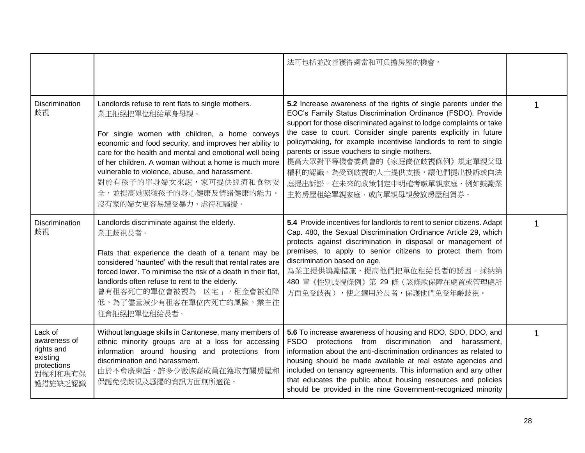|                                                                                        |                                                                                                                                                                                                                                                                                                                                                                                                                                      | 法可包括並改善獲得適當和可負擔房屋的機會。                                                                                                                                                                                                                                                                                                                                                                                                                                                                                                           |  |
|----------------------------------------------------------------------------------------|--------------------------------------------------------------------------------------------------------------------------------------------------------------------------------------------------------------------------------------------------------------------------------------------------------------------------------------------------------------------------------------------------------------------------------------|---------------------------------------------------------------------------------------------------------------------------------------------------------------------------------------------------------------------------------------------------------------------------------------------------------------------------------------------------------------------------------------------------------------------------------------------------------------------------------------------------------------------------------|--|
| Discrimination<br>歧視                                                                   | Landlords refuse to rent flats to single mothers.<br>業主拒絕把單位租給單身母親。<br>For single women with children, a home conveys<br>economic and food security, and improves her ability to<br>care for the health and mental and emotional well being<br>of her children. A woman without a home is much more<br>vulnerable to violence, abuse, and harassment.<br>對於有孩子的單身婦女來說,家可提供經濟和食物安<br>全,並提高她照顧孩子的身心健康及情緒健康的能力。<br>沒有家的婦女更容易遭受暴力、虐待和騷擾。 | 5.2 Increase awareness of the rights of single parents under the<br>EOC's Family Status Discrimination Ordinance (FSDO). Provide<br>support for those discriminated against to lodge complaints or take<br>the case to court. Consider single parents explicitly in future<br>policymaking, for example incentivise landlords to rent to single<br>parents or issue vouchers to single mothers.<br>提高大眾對平等機會委員會的《家庭崗位歧視條例》規定單親父母<br>權利的認識。為受到歧視的人士提供支援,讓他們提出投訴或向法<br>庭提出訴訟。在未來的政策制定中明確考慮單親家庭,例如鼓勵業<br>主將房屋租給單親家庭,或向單親母親發放房屋租賃券。 |  |
| Discrimination<br>歧視                                                                   | Landlords discriminate against the elderly.<br>業主歧視長者。<br>Flats that experience the death of a tenant may be<br>considered 'haunted' with the result that rental rates are<br>forced lower. To minimise the risk of a death in their flat,<br>landlords often refuse to rent to the elderly.<br>曾有租客死亡的單位會被視為「凶宅」,租金會被迫降<br>低。為了儘量減少有租客在單位內死亡的風險,業主往<br>往會拒絕把單位租給長者。                                                                 | 5.4 Provide incentives for landlords to rent to senior citizens. Adapt<br>Cap. 480, the Sexual Discrimination Ordinance Article 29, which<br>protects against discrimination in disposal or management of<br>premises, to apply to senior citizens to protect them from<br>discrimination based on age.<br>為業主提供獎勵措施,提高他們把單位租給長者的誘因。採納第<br>480 章《性別歧視條例》第 29 條(該條款保障在處置或管理處所<br>方面免受歧視),使之適用於長者,保護他們免受年齡歧視。                                                                                                                     |  |
| Lack of<br>awareness of<br>rights and<br>existing<br>protections<br>對權利和現有保<br>護措施缺乏認識 | Without language skills in Cantonese, many members of<br>ethnic minority groups are at a loss for accessing<br>information around housing and protections from<br>discrimination and harassment.<br>由於不會廣東話,許多少數族裔成員在獲取有關房屋和<br>保護免受歧視及騷擾的資訊方面無所適從。                                                                                                                                                                                  | 5.6 To increase awareness of housing and RDO, SDO, DDO, and<br>from discrimination and harassment,<br><b>FSDO</b><br>protections<br>information about the anti-discrimination ordinances as related to<br>housing should be made available at real estate agencies and<br>included on tenancy agreements. This information and any other<br>that educates the public about housing resources and policies<br>should be provided in the nine Government-recognized minority                                                      |  |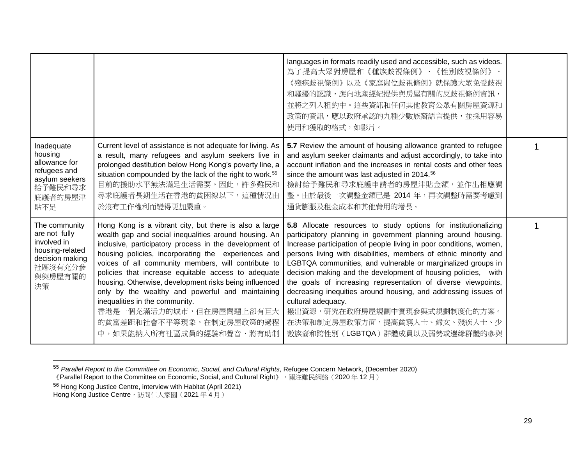|                                                                                                                 |                                                                                                                                                                                                                                                                                                                                                                                                                                                                                                                                                                                    | languages in formats readily used and accessible, such as videos.<br>為了提高大眾對房屋和《種族歧視條例》、《性別歧視條例》、<br>《殘疾歧視條例》以及《家庭崗位歧視條例》就保護大眾免受歧視<br>和騷擾的認識,應向地產經紀提供與房屋有關的反歧視條例資訊,<br>並將之列入租約中。這些資訊和任何其他教育公眾有關房屋資源和<br>政策的資訊,應以政府承認的九種少數族裔語言提供,並採用容易<br>使用和獲取的格式,如影片。                                                                                                                                                                                                                                                                                                                                                                                                                   |  |
|-----------------------------------------------------------------------------------------------------------------|------------------------------------------------------------------------------------------------------------------------------------------------------------------------------------------------------------------------------------------------------------------------------------------------------------------------------------------------------------------------------------------------------------------------------------------------------------------------------------------------------------------------------------------------------------------------------------|--------------------------------------------------------------------------------------------------------------------------------------------------------------------------------------------------------------------------------------------------------------------------------------------------------------------------------------------------------------------------------------------------------------------------------------------------------------------------------------------------------------------------------------------------------------------------------------------------------------------------------------------------------------------------|--|
| Inadequate<br>housing<br>allowance for<br>refugees and<br>asylum seekers<br>給予難民和尋求<br>庇護者的房屋津<br>貼不足           | Current level of assistance is not adequate for living. As<br>a result, many refugees and asylum seekers live in<br>prolonged destitution below Hong Kong's poverty line, a<br>situation compounded by the lack of the right to work. <sup>55</sup><br>目前的援助水平無法滿足生活需要。因此,許多難民和<br>尋求庇護者長期生活在香港的貧困線以下,這種情況由<br>於沒有工作權利而變得更加嚴重。                                                                                                                                                                                                                                                     | 5.7 Review the amount of housing allowance granted to refugee<br>and asylum seeker claimants and adjust accordingly, to take into<br>account inflation and the increases in rental costs and other fees<br>since the amount was last adjusted in 2014. <sup>56</sup><br>檢討給予難民和尋求庇護申請者的房屋津貼金額,並作出相應調<br>整。由於最後一次調整金額已是 2014 年,再次調整時需要考慮到<br>通貨膨脹及租金成本和其他費用的增長。                                                                                                                                                                                                                                                                                                           |  |
| The community<br>are not fully<br>involved in<br>housing-related<br>decision making<br>社區沒有充分參<br>與與房屋有關的<br>決策 | Hong Kong is a vibrant city, but there is also a large<br>wealth gap and social inequalities around housing. An<br>inclusive, participatory process in the development of<br>housing policies, incorporating the experiences and<br>voices of all community members, will contribute to<br>policies that increase equitable access to adequate<br>housing. Otherwise, development risks being influenced<br>only by the wealthy and powerful and maintaining<br>inequalities in the community.<br>香港是一個充滿活力的城市,但在房屋問題上卻有巨大<br>的貧富差距和社會不平等現象。在制定房屋政策的過程<br>中,如果能納入所有社區成員的經驗和聲音,將有助制 | 5.8 Allocate resources to study options for institutionalizing<br>participatory planning in government planning around housing.<br>Increase participation of people living in poor conditions, women,<br>persons living with disabilities, members of ethnic minority and<br>LGBTQA communities, and vulnerable or marginalized groups in<br>decision making and the development of housing policies, with<br>the goals of increasing representation of diverse viewpoints,<br>decreasing inequities around housing, and addressing issues of<br>cultural adequacy.<br>撥出資源,研究在政府房屋規劃中實現參與式規劃制度化的方案。<br>在決策和制定房屋政策方面,提高貧窮人士、婦女、殘疾人士、少<br>數族裔和跨性別(LGBTQA)群體成員以及弱勢或邊緣群體的參與 |  |

<sup>55</sup> *Parallel Report to the Committee on Economic, Social, and Cultural Rights*, Refugee Concern Network, (December 2020)

<sup>《</sup>Parallel Report to the Committee on Economic, Social, and Cultural Right》,關注難民網絡(2020年12月)

<sup>&</sup>lt;sup>56</sup> Hong Kong Justice Centre, interview with Habitat (April 2021)

Hong Kong Justice Centre,訪問仁人家園(2021 年 4 月)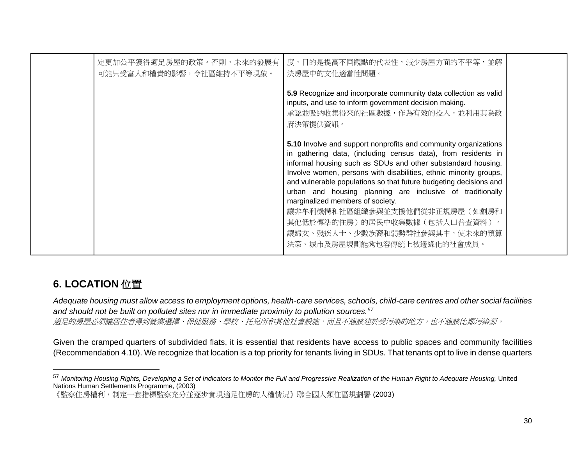| 定更加公平獲得適足房屋的政策。否則,未來的發展有<br>可能只受富人和權貴的影響,令社區維持不平等現象。 | 度,目的是提高不同觀點的代表性,減少房屋方面的不平等,並解<br>決房屋中的文化適當性問題。                                                                                                                                                                                                                                                                                                                                                                                                                                                                                                                                |  |
|------------------------------------------------------|-------------------------------------------------------------------------------------------------------------------------------------------------------------------------------------------------------------------------------------------------------------------------------------------------------------------------------------------------------------------------------------------------------------------------------------------------------------------------------------------------------------------------------------------------------------------------------|--|
|                                                      | 5.9 Recognize and incorporate community data collection as valid<br>inputs, and use to inform government decision making.<br>承認並吸納收集得來的社區數據,作為有效的投入,並利用其為政<br>府決策提供資訊。                                                                                                                                                                                                                                                                                                                                                                                                        |  |
|                                                      | 5.10 Involve and support nonprofits and community organizations<br>in gathering data, (including census data), from residents in<br>informal housing such as SDUs and other substandard housing.<br>Involve women, persons with disabilities, ethnic minority groups,<br>and vulnerable populations so that future budgeting decisions and<br>urban and housing planning are inclusive of traditionally<br>marginalized members of society.<br>讓非牟利機構和社區組織參與並支援他們從非正規房屋(如劏房和<br>其他低於標準的住房)的居民中收集數據(包括人口普查資料)。<br>讓婦女、殘疾人士、少數族裔和弱勢群社參與其中,使未來的預算<br>決策、城市及房屋規劃能夠包容傳統上被邊緣化的社會成員。 |  |

## <span id="page-29-0"></span>**6. LOCATION** 位置

*Adequate housing must allow access to employment options, health-care services, schools, child-care centres and other social facilities and should not be built on polluted sites nor in immediate proximity to pollution sources.<sup>57</sup>* 適足的房屋必須讓居住者得到就業選擇、保健服務、學校、托兒所和其他社會設施,而且不應該建於受污染的地方,也不應該比鄰污染源。

Given the cramped quarters of subdivided flats, it is essential that residents have access to public spaces and community facilities (Recommendation 4.10). We recognize that location is a top priority for tenants living in SDUs. That tenants opt to live in dense quarters

<sup>&</sup>lt;sup>57</sup> Monitoring Housing Rights, Developing a Set of Indicators to Monitor the Full and Progressive Realization of the Human Right to Adequate Housing, United Nations Human Settlements Programme, (2003)

<sup>《</sup>監察住房權利,制定一套指標監察充分並逐步實現適足住房的人權情況》聯合國人類住區規劃署 (2003)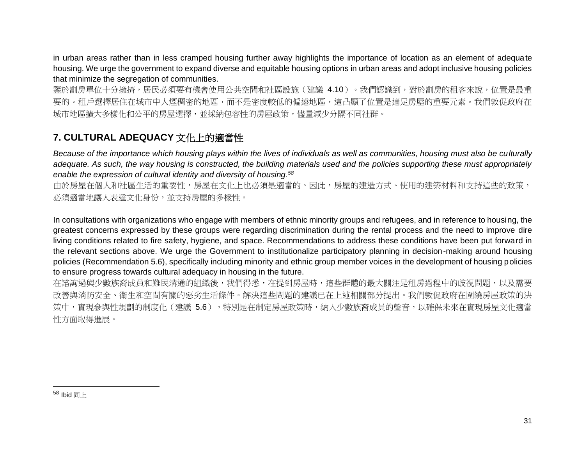in urban areas rather than in less cramped housing further away highlights the importance of location as an element of adequate housing. We urge the government to expand diverse and equitable housing options in urban areas and adopt inclusive housing policies that minimize the segregation of communities.

鑒於劏房單位十分擁擠,居民必須要有機會使用公共空間和社區設施(建議 4.10)。我們認識到,對於劏房的租客來說,位置是最重 要的。租戶選擇居住在城市中人煙稠密的地區,而不是密度較低的偏遠地區,這凸顯了位置是適足房屋的重要元素。我們敦促政府在 城市地區擴大多樣化和公平的房屋選擇,並採納包容性的房屋政策,儘量減少分隔不同社群。

#### <span id="page-30-0"></span>**7. CULTURAL ADEQUACY** 文化上的適當性

*Because of the importance which housing plays within the lives of individuals as well as communities, housing must also be culturally adequate. As such, the way housing is constructed, the building materials used and the policies supporting these must appropriately enable the expression of cultural identity and diversity of housing.<sup>58</sup>*

由於房屋在個人和社區生活的重要性,房屋在文化上也必須是適當的。因此,房屋的建造方式、使用的建築材料和支持這些的政策, 必須適當地讓人表達文化身份,並支持房屋的多樣性。

In consultations with organizations who engage with members of ethnic minority groups and refugees, and in reference to housing, the greatest concerns expressed by these groups were regarding discrimination during the rental process and the need to improve dire living conditions related to fire safety, hygiene, and space. Recommendations to address these conditions have been put forward in the relevant sections above. We urge the Government to institutionalize participatory planning in decision-making around housing policies (Recommendation 5.6), specifically including minority and ethnic group member voices in the development of housing policies to ensure progress towards cultural adequacy in housing in the future.

在諮詢過與少數族裔成員和難民溝通的組織後,我們得悉,在提到房屋時,這些群體的最大關注是租房過程中的歧視問題,以及需要 改善與消防安全、衛生和空間有關的惡劣生活條件。解決這些問題的建議已在上述相關部分提出。我們敦促政府在圍繞房屋政策的決 策中,實現參與性規劃的制度化(建議 5.6),培別是在制定房屋政策時,納入少數族裔成員的聲音,以確保未來在實現房屋文化適當 性方面取得進展。

 $58$  Ibid 同上